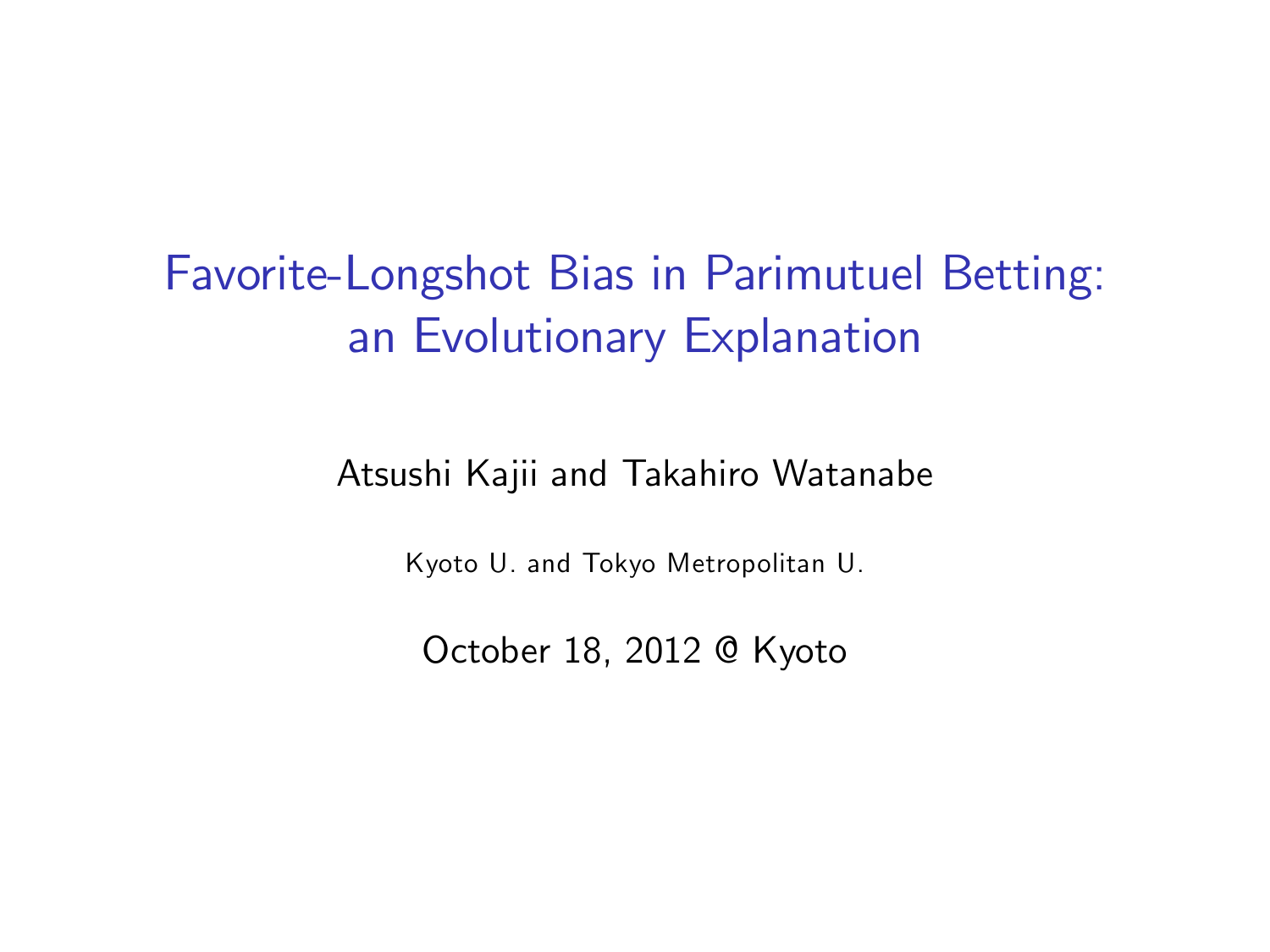# Favorite-Longshot Bias in Parimutuel Betting: an Evolutionary Explanation

#### Atsushi Kajii and Takahiro Watanabe

Kyoto U. and Tokyo Metropolitan U.

October 18, 2012 @ Kyoto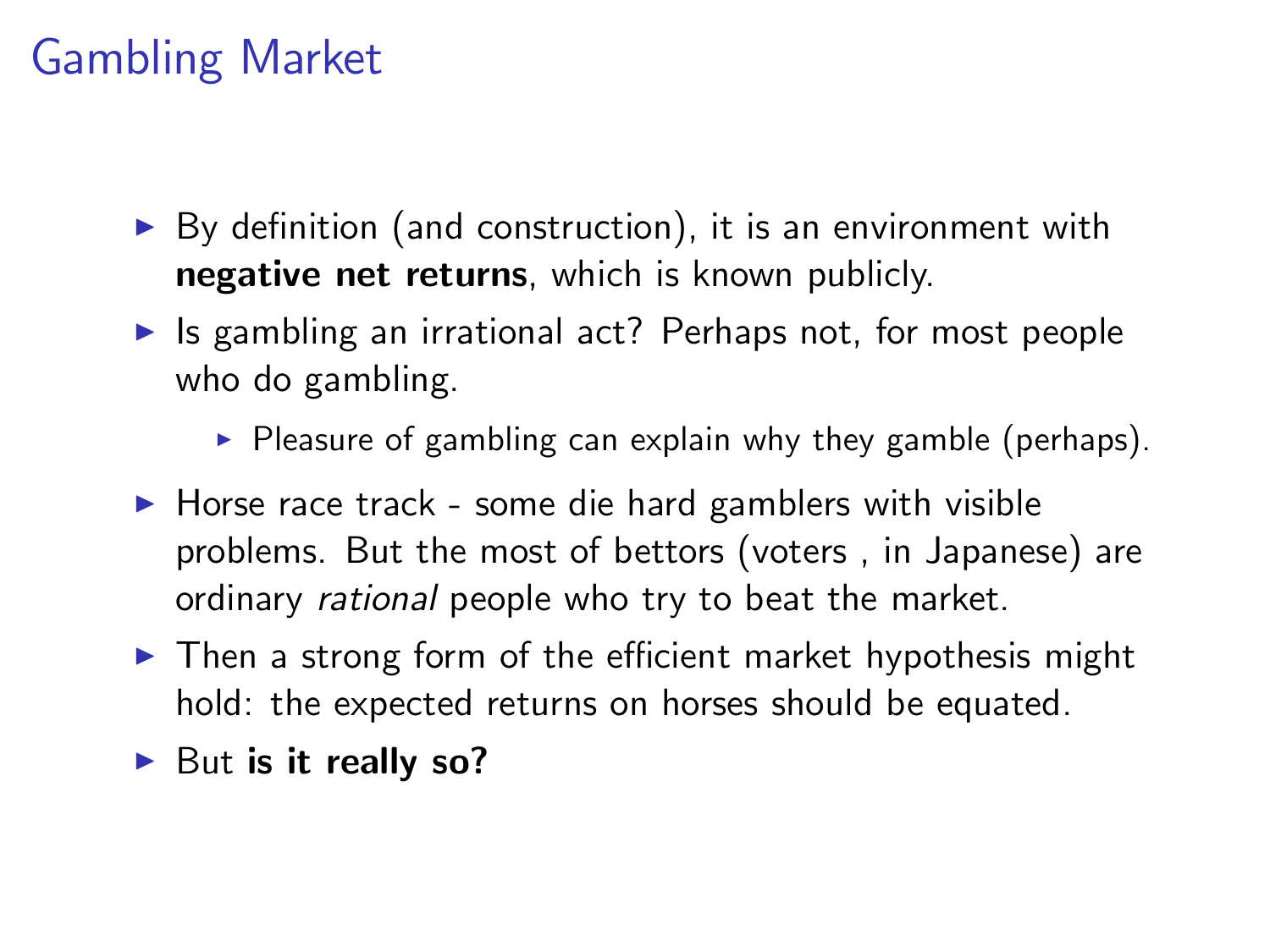# Gambling Market

- $\triangleright$  By definition (and construction), it is an environment with negative net returns, which is known publicly.
- $\blacktriangleright$  Is gambling an irrational act? Perhaps not, for most people who do gambling.
	- $\triangleright$  Pleasure of gambling can explain why they gamble (perhaps).
- $\blacktriangleright$  Horse race track some die hard gamblers with visible problems. But the most of bettors (voters , in Japanese) are ordinary rational people who try to beat the market.
- $\triangleright$  Then a strong form of the efficient market hypothesis might hold: the expected returns on horses should be equated.
- $\blacktriangleright$  But is it really so?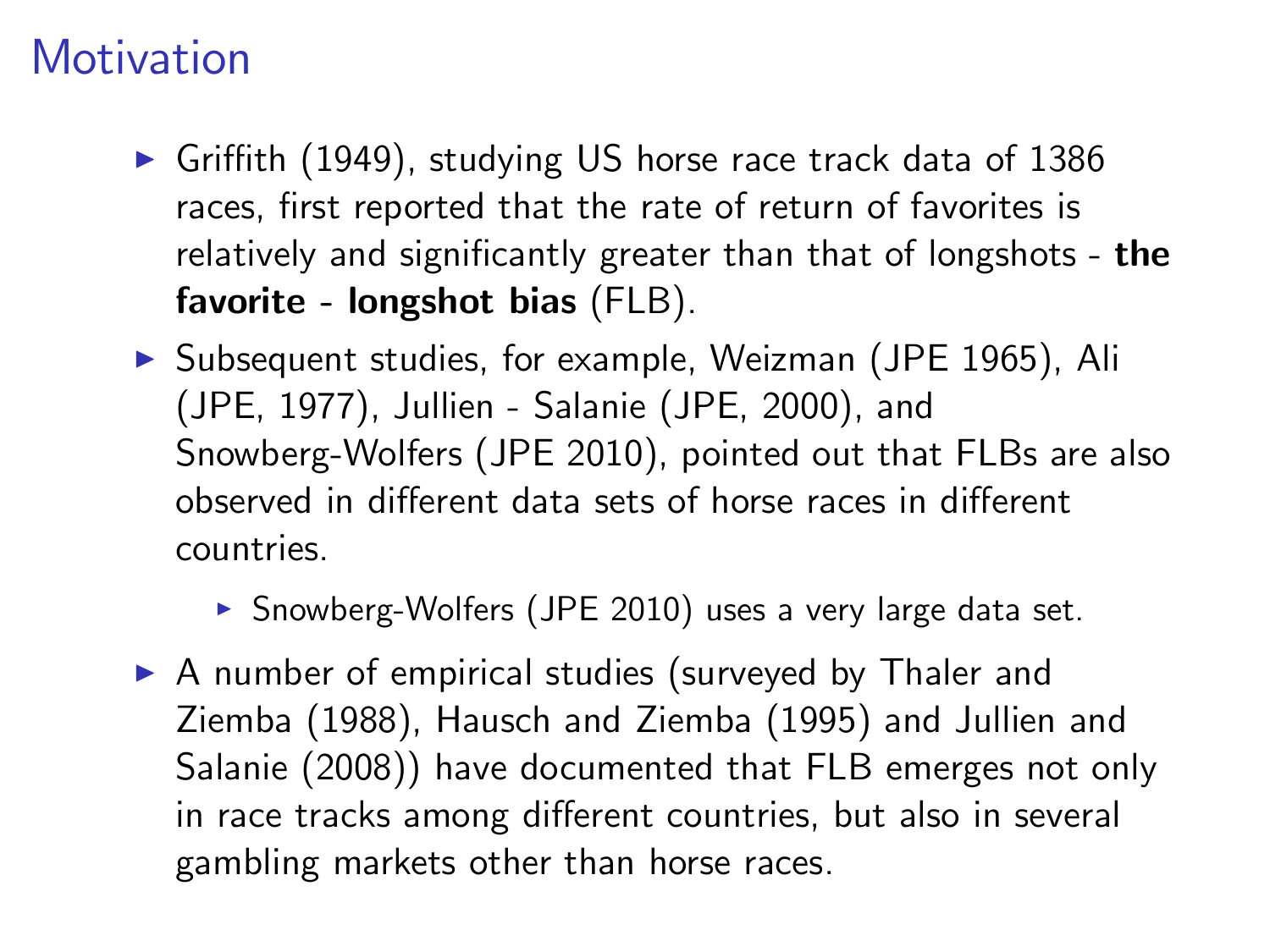# **Motivation**

- $\triangleright$  Griffith (1949), studying US horse race track data of 1386 races, first reported that the rate of return of favorites is relatively and significantly greater than that of longshots - the favorite - longshot bias (FLB).
- ▶ Subsequent studies, for example, Weizman (JPE 1965), Ali (JPE, 1977), Jullien - Salanie (JPE, 2000), and Snowberg-Wolfers (JPE 2010), pointed out that FLBs are also observed in different data sets of horse races in different countries.
	- $\triangleright$  Snowberg-Wolfers (JPE 2010) uses a very large data set.
- $\triangleright$  A number of empirical studies (surveyed by Thaler and Ziemba (1988), Hausch and Ziemba (1995) and Jullien and Salanie (2008)) have documented that FLB emerges not only in race tracks among different countries, but also in several gambling markets other than horse races.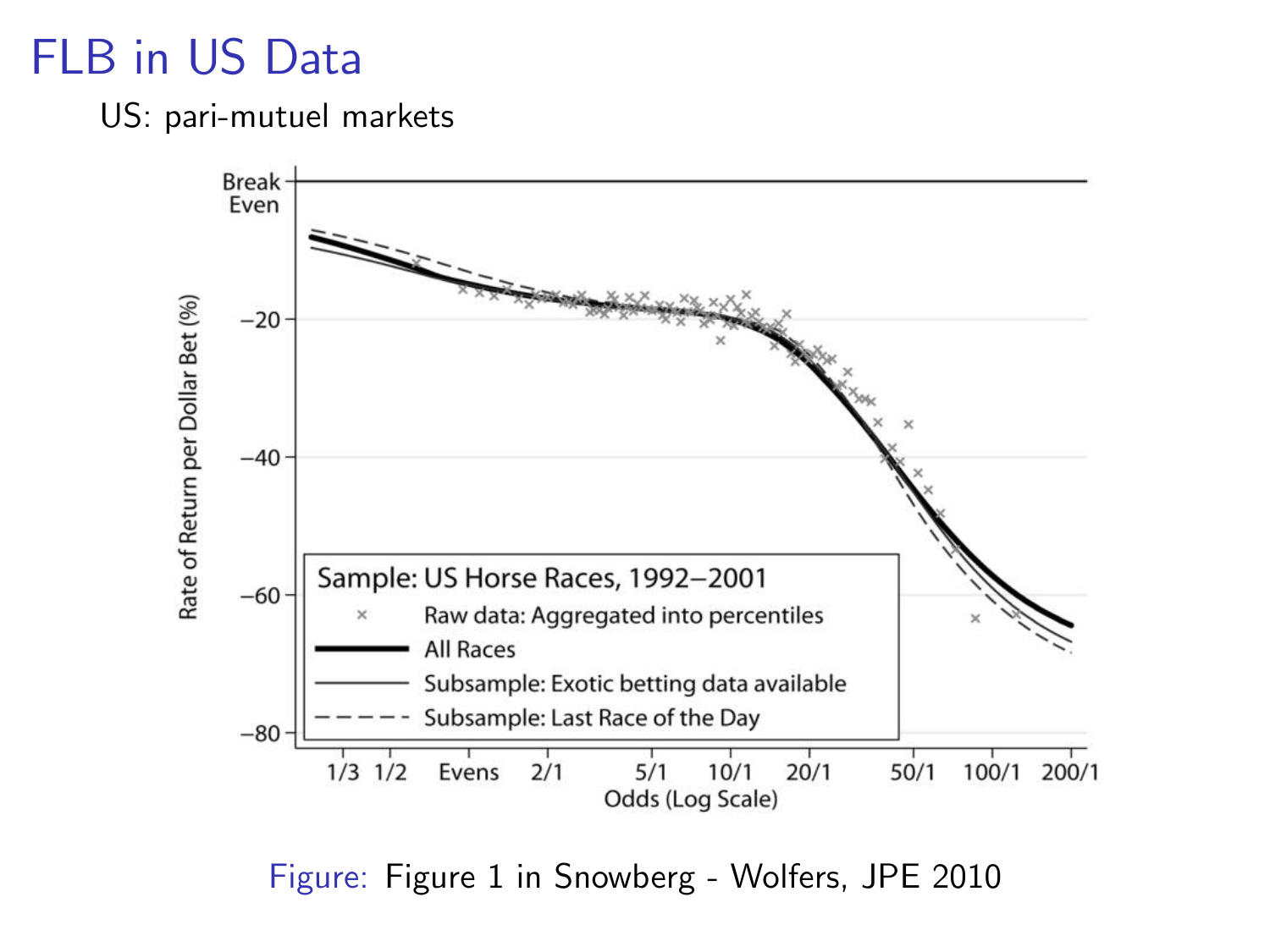# FLB in US Data

#### US: pari-mutuel markets



Figure: Figure 1 in Snowberg - Wolfers, JPE 2010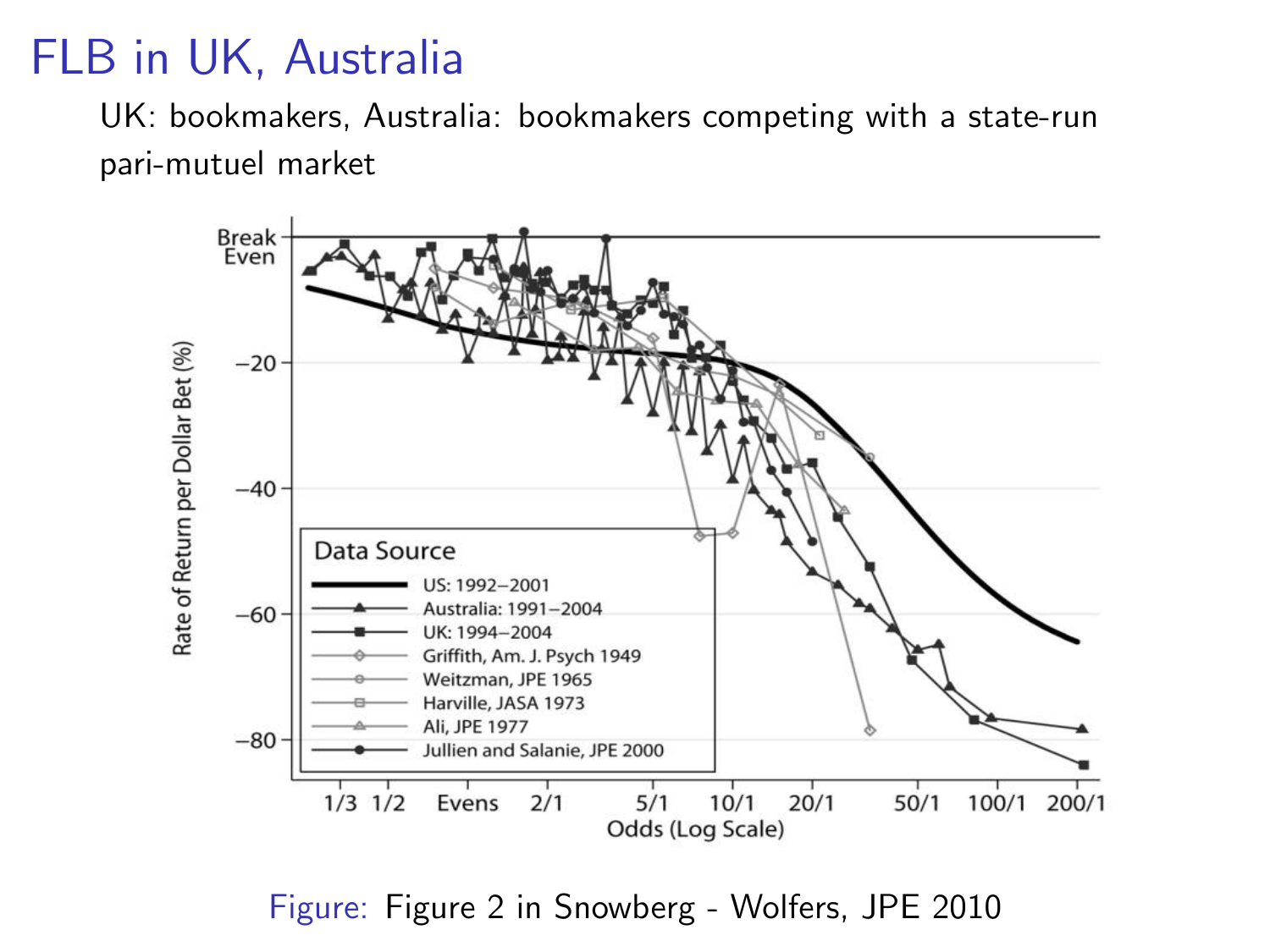### FLB in UK, Australia

UK: bookmakers, Australia: bookmakers competing with a state-run pari-mutuel market



Figure: Figure 2 in Snowberg - Wolfers, JPE 2010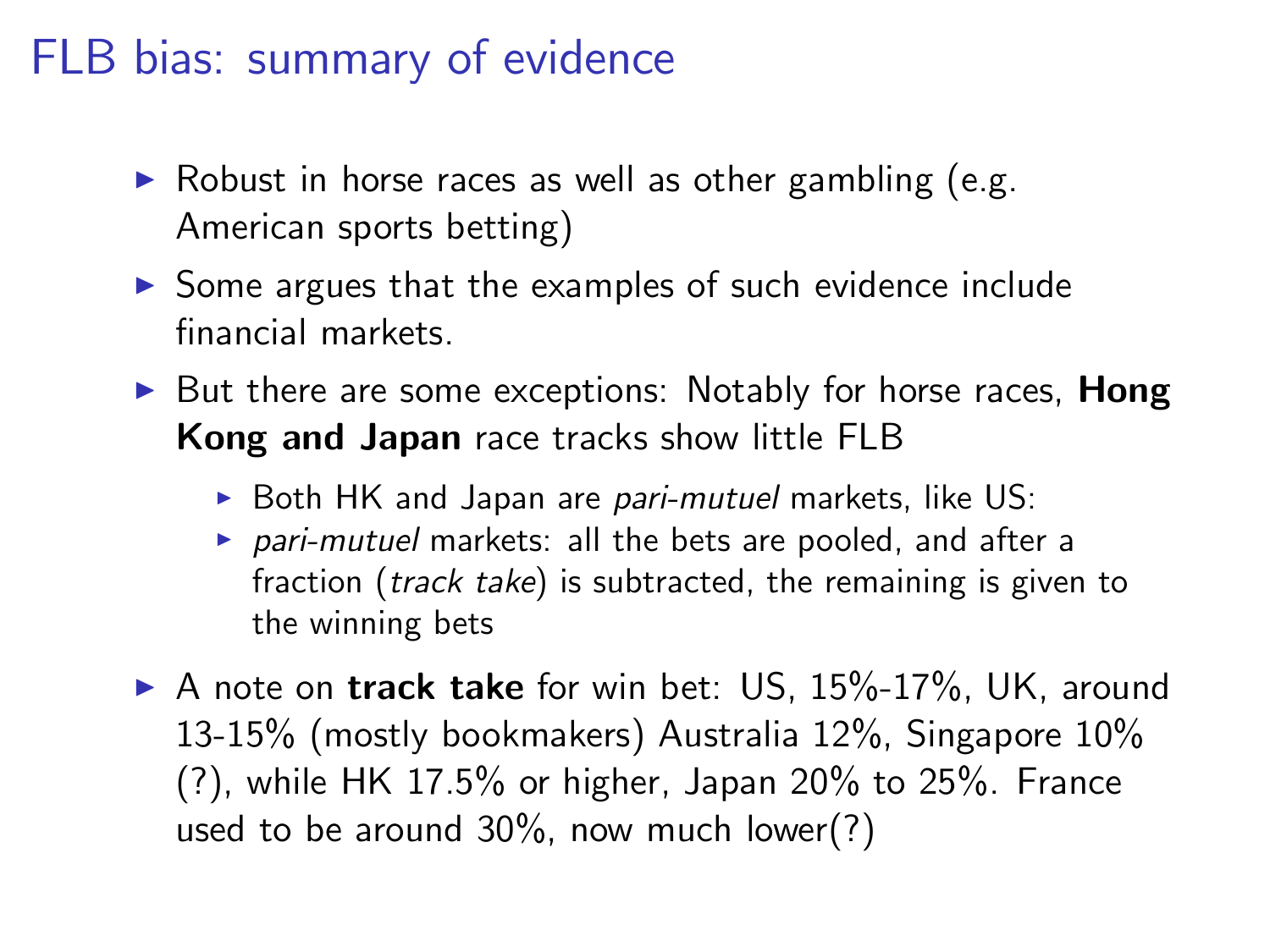### FLB bias: summary of evidence

- $\triangleright$  Robust in horse races as well as other gambling (e.g. American sports betting)
- $\triangleright$  Some argues that the examples of such evidence include financial markets.
- $\triangleright$  But there are some exceptions: Notably for horse races. Hong Kong and Japan race tracks show little FLB
	- $\triangleright$  Both HK and Japan are pari-mutuel markets, like US:
	- $\triangleright$  pari-mutuel markets: all the bets are pooled, and after a fraction (*track take*) is subtracted, the remaining is given to the winning bets
- $\triangleright$  A note on track take for win bet: US, 15%-17%, UK, around 13-15% (mostly bookmakers) Australia 12%, Singapore 10% (?), while HK 17.5% or higher, Japan 20% to 25%. France used to be around 30%, now much lower(?)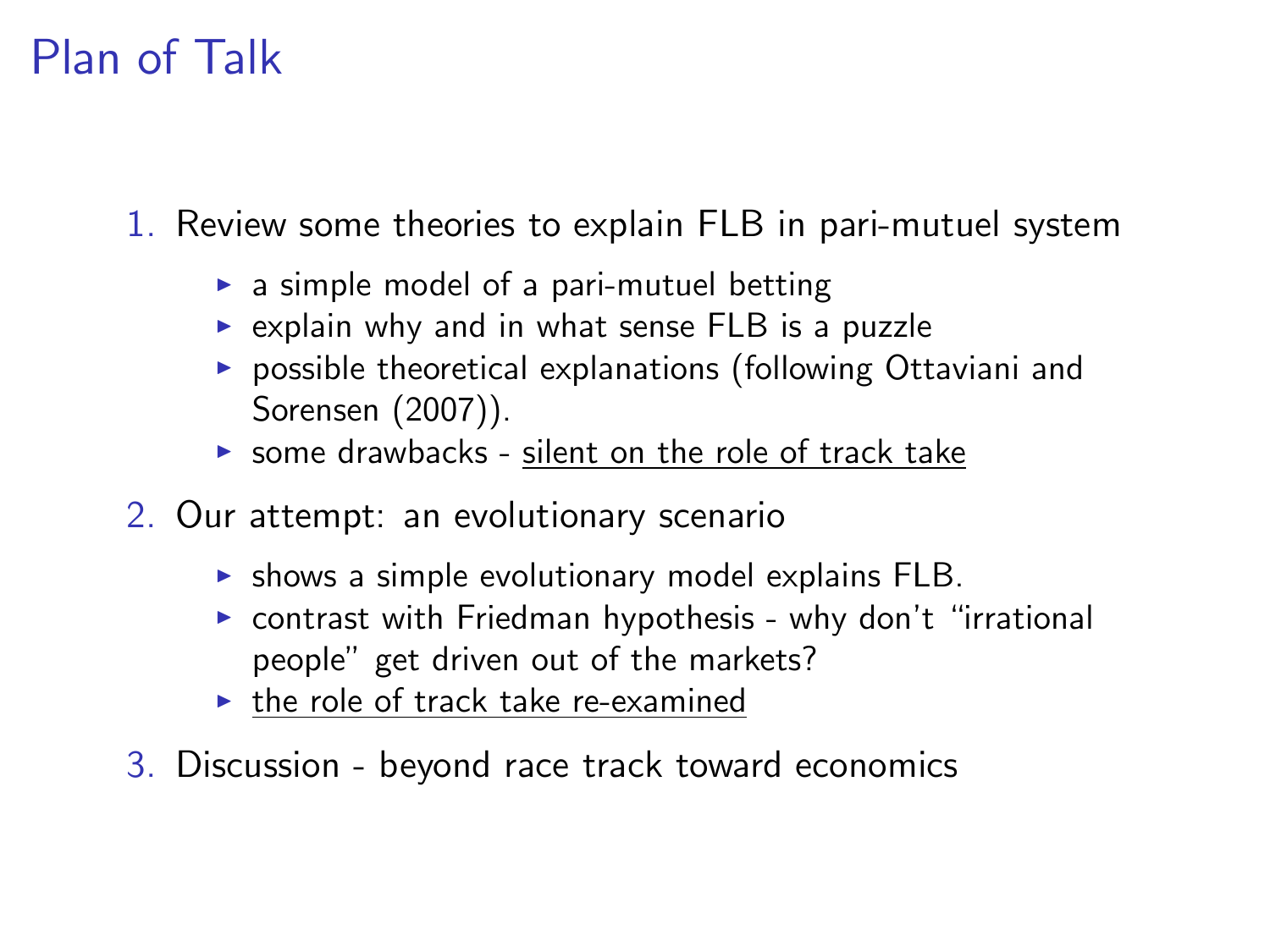### Plan of Talk

1. Review some theories to explain FLB in pari-mutuel system

- $\triangleright$  a simple model of a pari-mutuel betting
- $\triangleright$  explain why and in what sense FLB is a puzzle
- $\triangleright$  possible theoretical explanations (following Ottaviani and Sorensen (2007)).
- $\triangleright$  some drawbacks silent on the role of track take
- 2. Our attempt: an evolutionary scenario
	- $\triangleright$  shows a simple evolutionary model explains FLB.
	- $\triangleright$  contrast with Friedman hypothesis why don't "irrational people" get driven out of the markets?
	- $\blacktriangleright$  the role of track take re-examined
- 3. Discussion beyond race track toward economics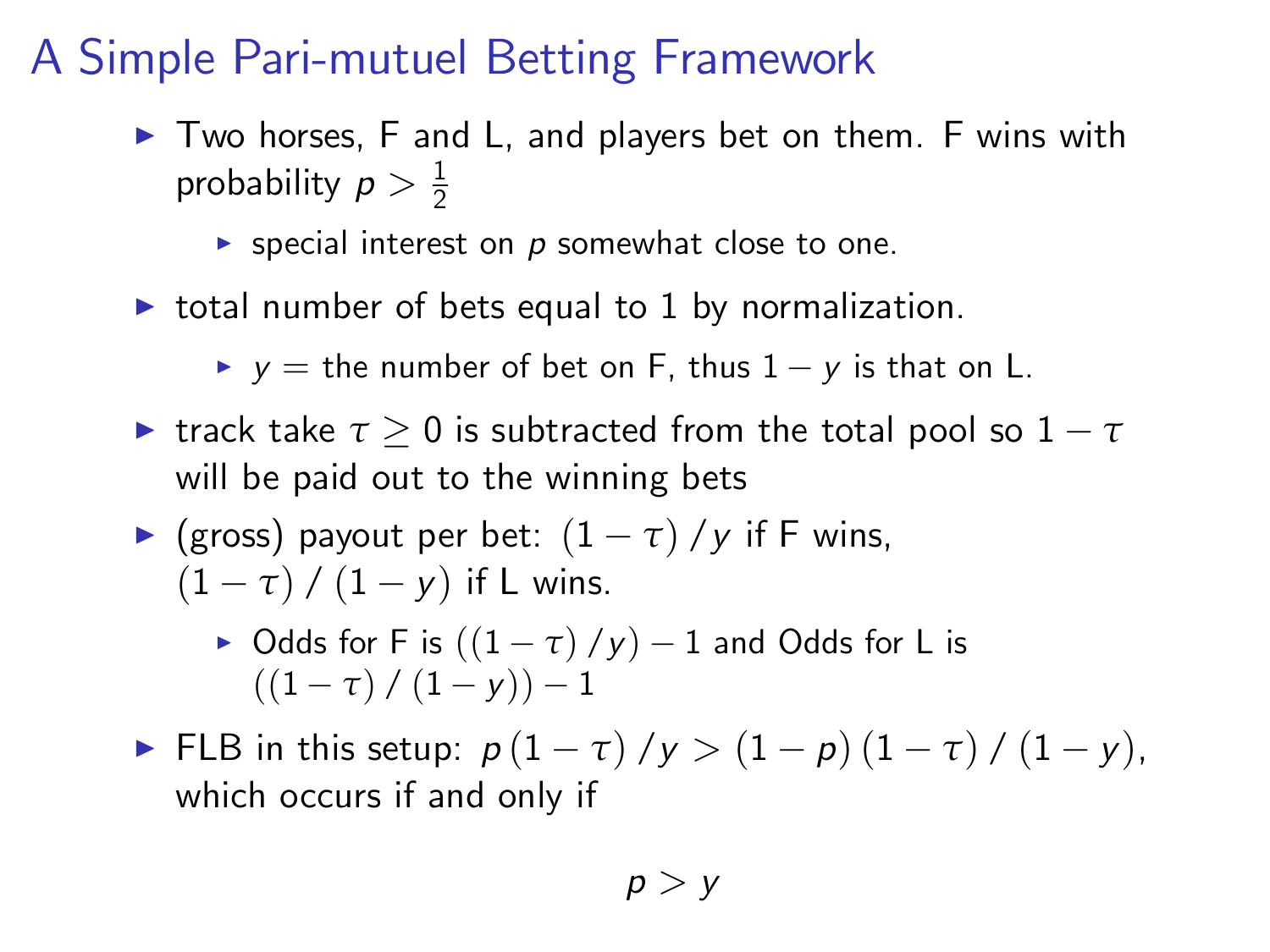# A Simple Pari-mutuel Betting Framework

 $\triangleright$  Two horses, F and L, and players bet on them. F wins with probability  $p > \frac{1}{2}$ 

**Exercial interest on p somewhat close to one.** 

- $\triangleright$  total number of bets equal to 1 by normalization.
	- $\blacktriangleright$  y = the number of bet on F, thus  $1 y$  is that on L.
- $\blacktriangleright$  track take  $\tau \geq 0$  is subtracted from the total pool so  $1 \tau$ will be paid out to the winning bets

• (gross) payout per bet: 
$$
(1 - \tau) / y
$$
 if F wins,  
 $(1 - \tau) / (1 - y)$  if L wins.

 $\triangleright$  Odds for F is  $((1 - \tau) / y) - 1$  and Odds for L is  $((1 - \tau) / (1 - v)) - 1$ 

**FLB** in this setup:  $p(1 - \tau)/y > (1 - p)(1 - \tau)/ (1 - y)$ , which occurs if and only if

$$
p > y
$$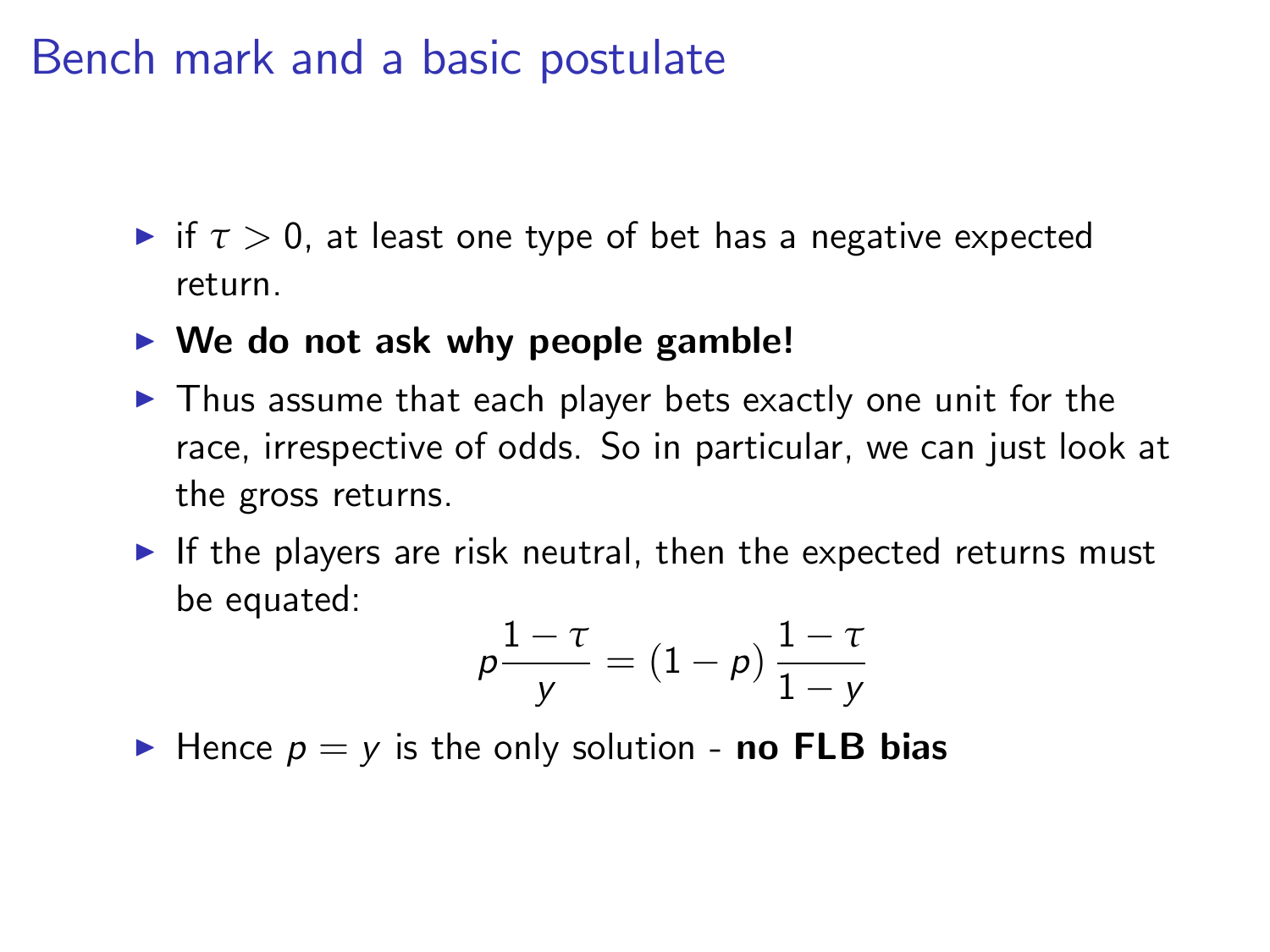### Bench mark and a basic postulate

- $\blacktriangleright$  if  $\tau > 0$ , at least one type of bet has a negative expected return.
- $\triangleright$  We do not ask why people gamble!
- $\blacktriangleright$  Thus assume that each player bets exactly one unit for the race, irrespective of odds. So in particular, we can just look at the gross returns.
- If the players are risk neutral, then the expected returns must be equated:

$$
p\frac{1-\tau}{y} = (1-p)\frac{1-\tau}{1-y}
$$

 $\blacktriangleright$  Hence  $p = y$  is the only solution - **no FLB bias**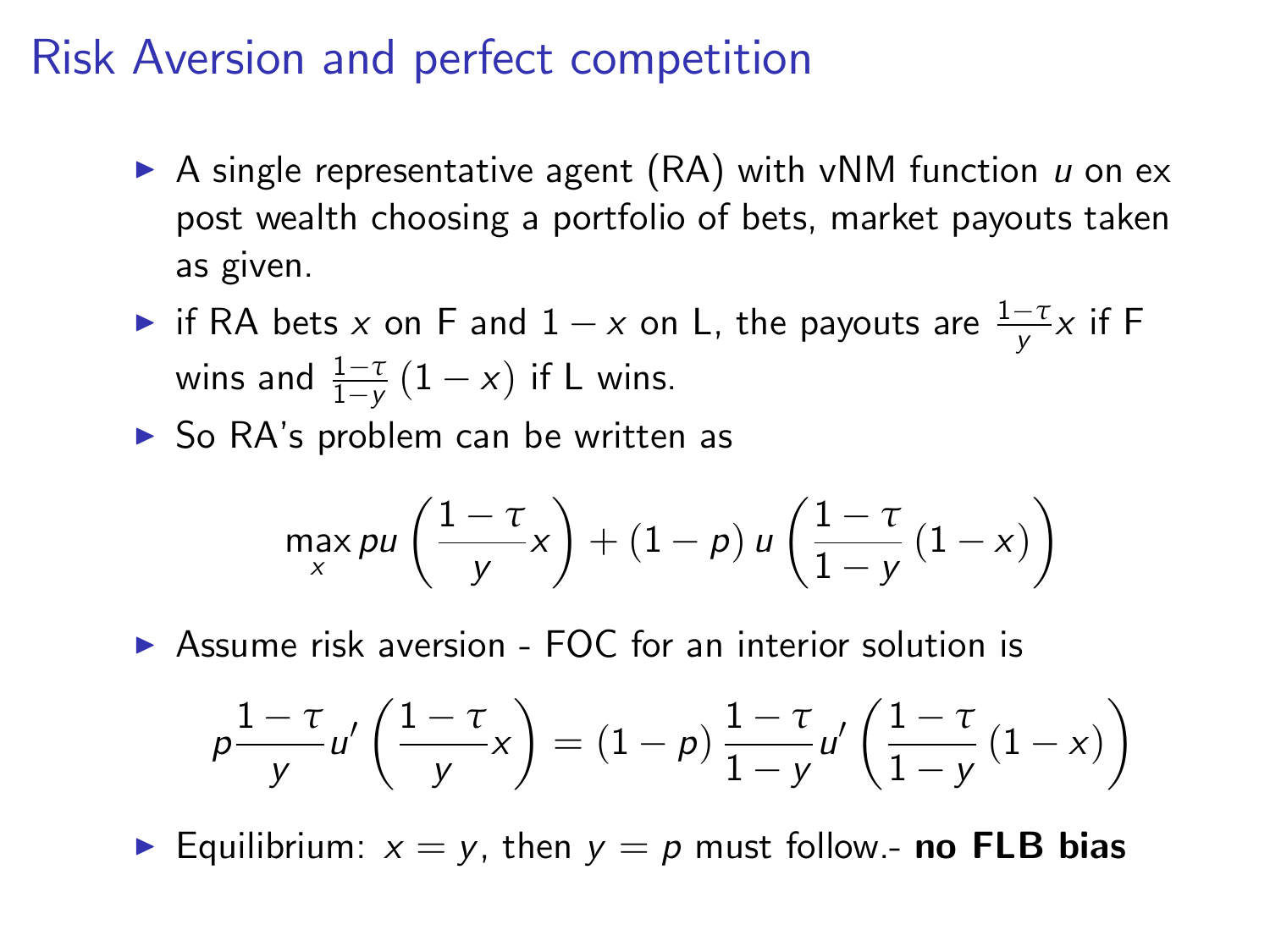### Risk Aversion and perfect competition

- A single representative agent  $(RA)$  with vNM function u on ex post wealth choosing a portfolio of bets, market payouts taken as given.
- ► if RA bets *x* on F and  $1 x$  on L, the payouts are  $\frac{1 \tau}{y}$ *x* if F wins and  $\frac{1-\tau}{1-y}(1-x)$  if L wins.
- $\triangleright$  So RA's problem can be written as

$$
\max_{x} \rho u\left(\frac{1-\tau}{y}x\right) + (1-\rho) u\left(\frac{1-\tau}{1-y}\left(1-x\right)\right)
$$

 $\triangleright$  Assume risk aversion - FOC for an interior solution is

$$
p\frac{1-\tau}{y}u'\left(\frac{1-\tau}{y}x\right)=(1-p)\frac{1-\tau}{1-y}u'\left(\frac{1-\tau}{1-y}\left(1-x\right)\right)
$$

Equilibrium:  $x = y$ , then  $y = p$  must follow.- no FLB bias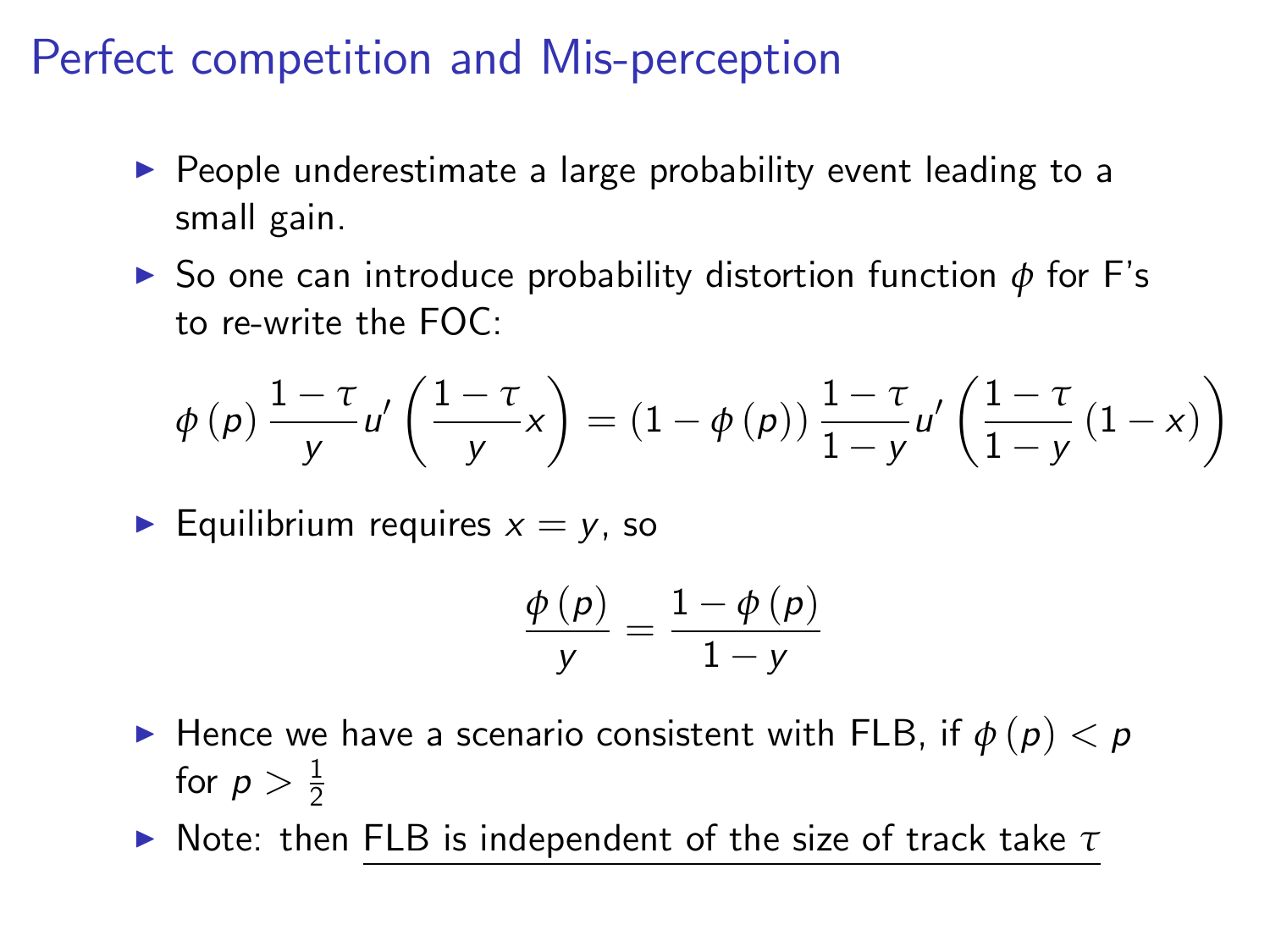### Perfect competition and Mis-perception

- $\blacktriangleright$  People underestimate a large probability event leading to a small gain.
- $▶$  So one can introduce probability distortion function  $φ$  for F's to re-write the FOC:

$$
\phi(p) \frac{1-\tau}{y} u' \left( \frac{1-\tau}{y} x \right) = \left( 1 - \phi(p) \right) \frac{1-\tau}{1-y} u' \left( \frac{1-\tau}{1-y} \left( 1-x \right) \right)
$$

Equilibrium requires  $x = y$ , so

$$
\frac{\phi(p)}{y} = \frac{1 - \phi(p)}{1 - y}
$$

- **If Hence we have a scenario consistent with FLB, if**  $\phi(p) < p$ for  $p > \frac{1}{2}$
- $\blacktriangleright$  Note: then FLB is independent of the size of track take  $\tau$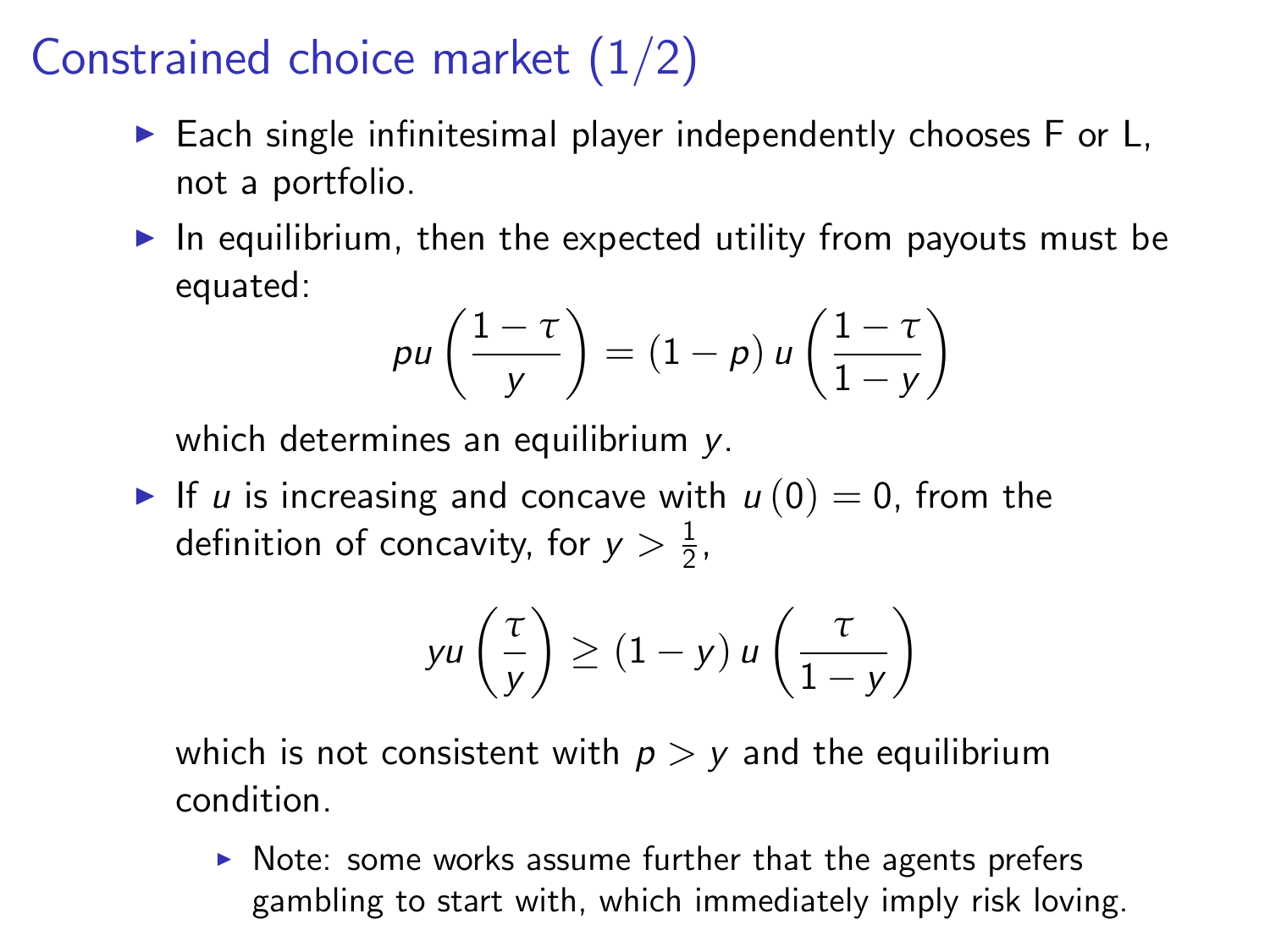# Constrained choice market (1/2)

- $\triangleright$  Each single infinitesimal player independently chooses F or L, not a portfolio.
- $\blacktriangleright$  In equilibrium, then the expected utility from payouts must be equated:

$$
p u\left(\frac{1-\tau}{y}\right) = (1-p) u\left(\frac{1-\tau}{1-y}\right)
$$

which determines an equilibrium y.

If u is increasing and concave with  $u(0) = 0$ , from the definition of concavity, for  $y > \frac{1}{2}$ ,

$$
yu\left(\frac{\tau}{y}\right) \ge (1-y)u\left(\frac{\tau}{1-y}\right)
$$

which is not consistent with  $p > y$  and the equilibrium condition.

 $\triangleright$  Note: some works assume further that the agents prefers gambling to start with, which immediately imply risk loving.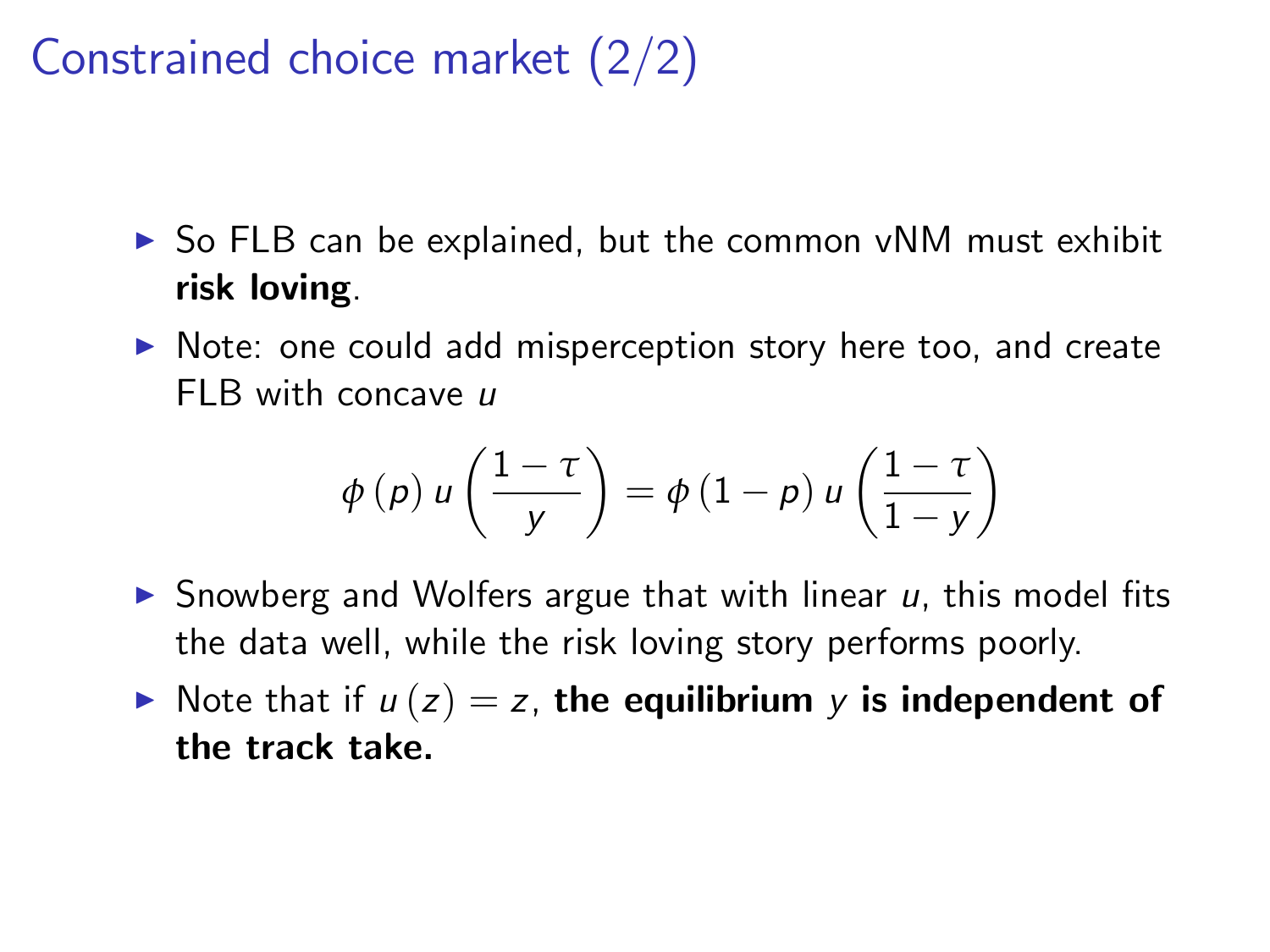# Constrained choice market (2/2)

- $\triangleright$  So FLB can be explained, but the common vNM must exhibit risk loving.
- $\triangleright$  Note: one could add misperception story here too, and create FLB with concave u

$$
\phi(p) u\left(\frac{1-\tau}{y}\right) = \phi(1-p) u\left(\frac{1-\tau}{1-y}\right)
$$

- $\triangleright$  Snowberg and Wolfers argue that with linear u, this model fits the data well, while the risk loving story performs poorly.
- $\blacktriangleright$  Note that if  $u(z) = z$ , the equilibrium y is independent of the track take.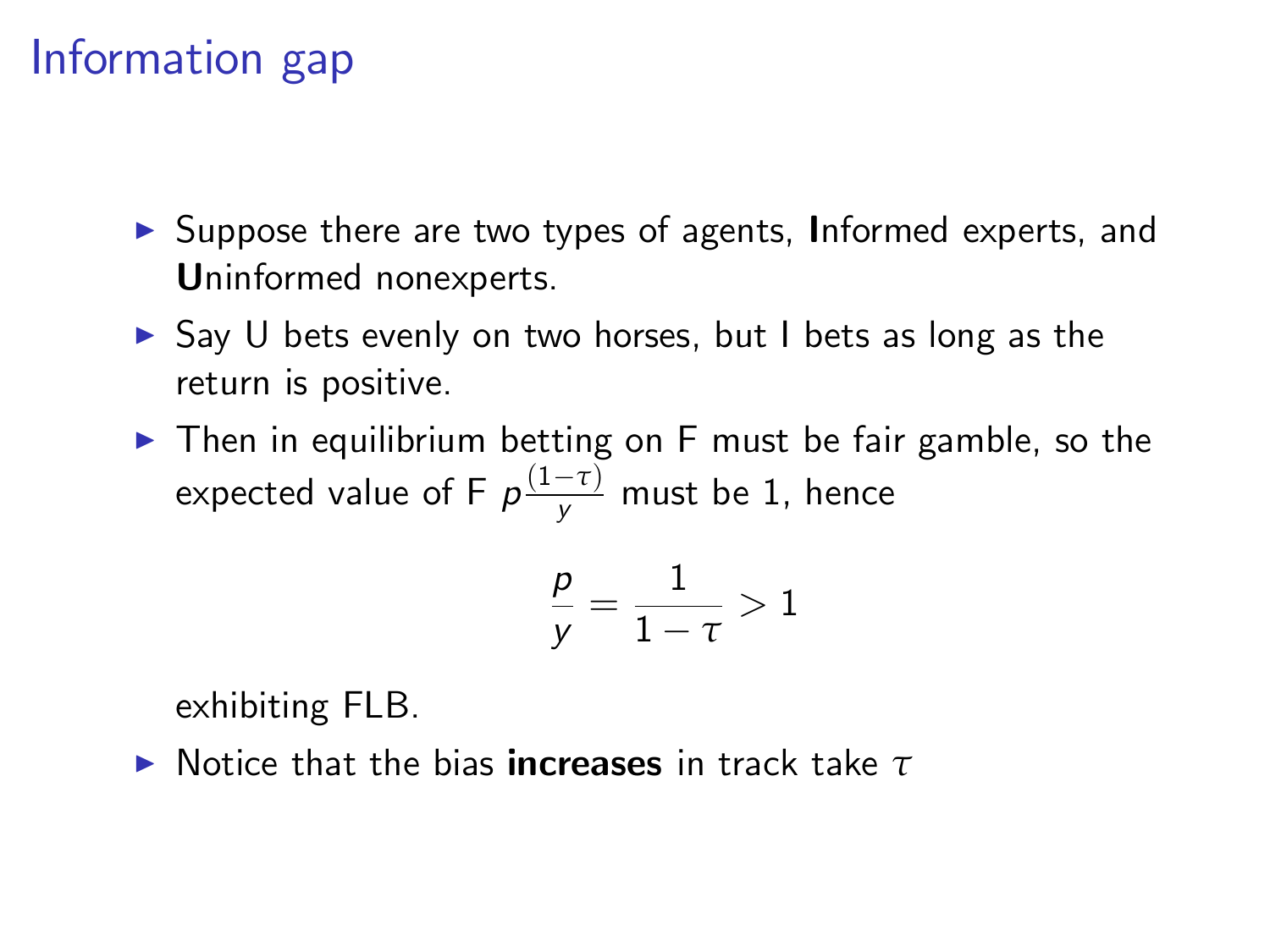# Information gap

- ▶ Suppose there are two types of agents, Informed experts, and Uninformed nonexperts.
- $\triangleright$  Say U bets evenly on two horses, but I bets as long as the return is positive.
- $\triangleright$  Then in equilibrium betting on F must be fair gamble, so the expected value of F  $\rho \frac{(1-\tau)}{y}$  must be 1, hence

$$
\frac{p}{y} = \frac{1}{1-\tau} > 1
$$

exhibiting FLB.

**►** Notice that the bias **increases** in track take *τ*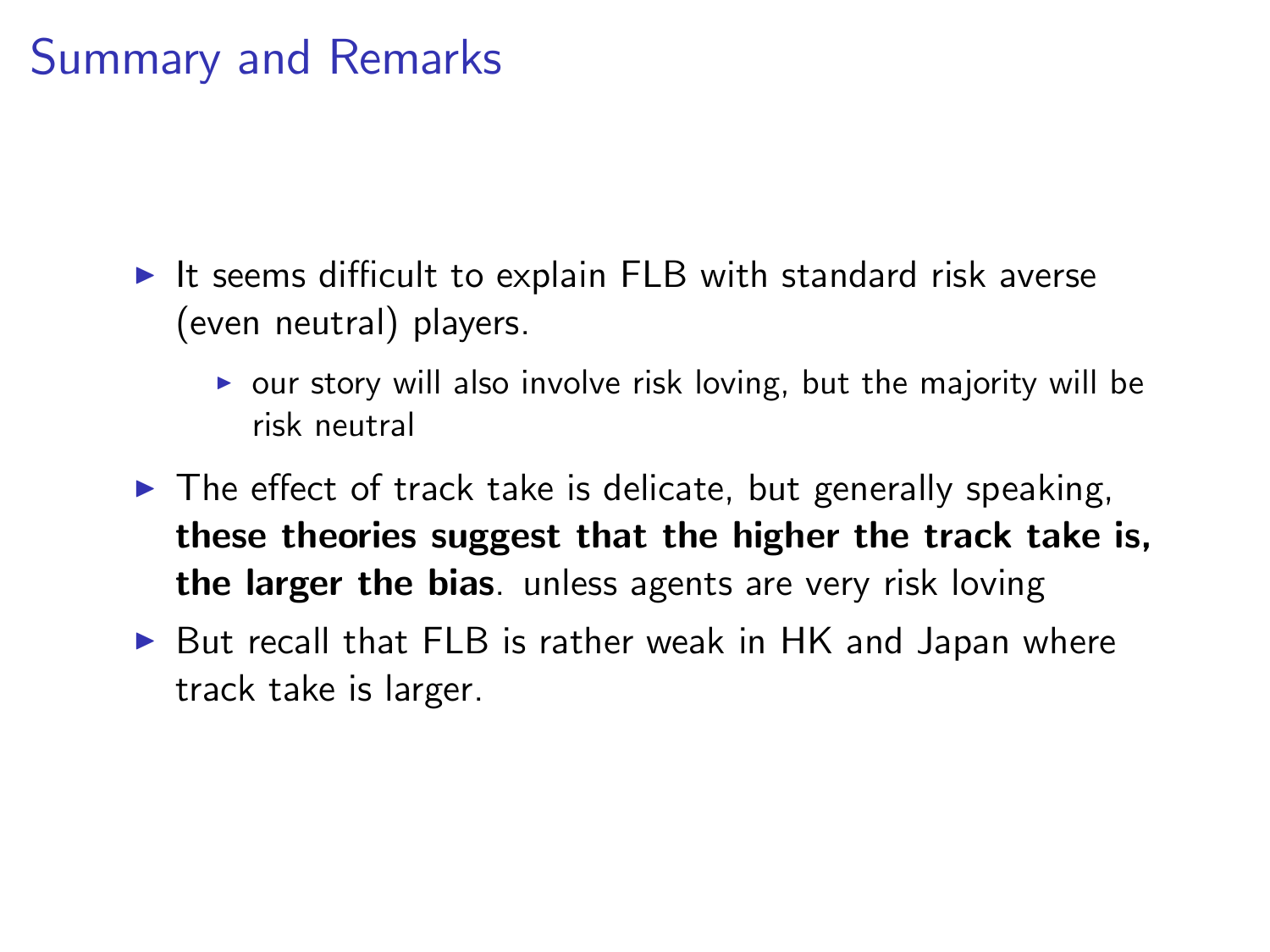### Summary and Remarks

- It seems difficult to explain FLB with standard risk averse (even neutral) players.
	- $\triangleright$  our story will also involve risk loving, but the majority will be risk neutral
- $\triangleright$  The effect of track take is delicate, but generally speaking, these theories suggest that the higher the track take is, the larger the bias. unless agents are very risk loving
- $\triangleright$  But recall that FLB is rather weak in HK and Japan where track take is larger.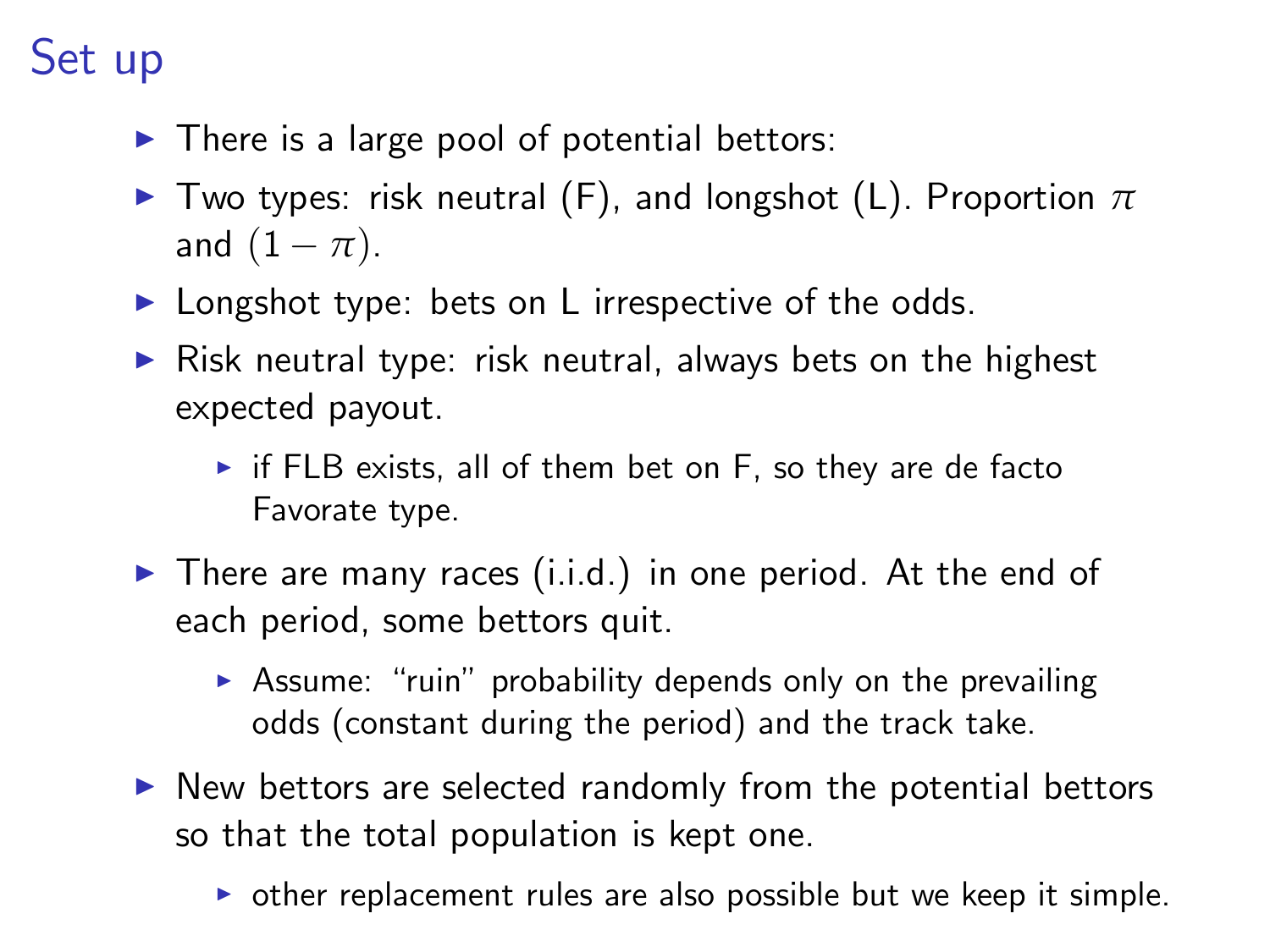# Set up

- $\blacktriangleright$  There is a large pool of potential bettors:
- $\triangleright$  Two types: risk neutral (F), and longshot (L). Proportion  $π$ and  $(1 - \pi)$ .
- $\blacktriangleright$  Longshot type: bets on L irrespective of the odds.
- $\triangleright$  Risk neutral type: risk neutral, always bets on the highest expected payout.
	- $\triangleright$  if FLB exists, all of them bet on F, so they are de facto Favorate type.
- $\blacktriangleright$  There are many races (i.i.d.) in one period. At the end of each period, some bettors quit.
	- $\triangleright$  Assume: "ruin" probability depends only on the prevailing odds (constant during the period) and the track take.
- $\triangleright$  New bettors are selected randomly from the potential bettors so that the total population is kept one.
	- $\triangleright$  other replacement rules are also possible but we keep it simple.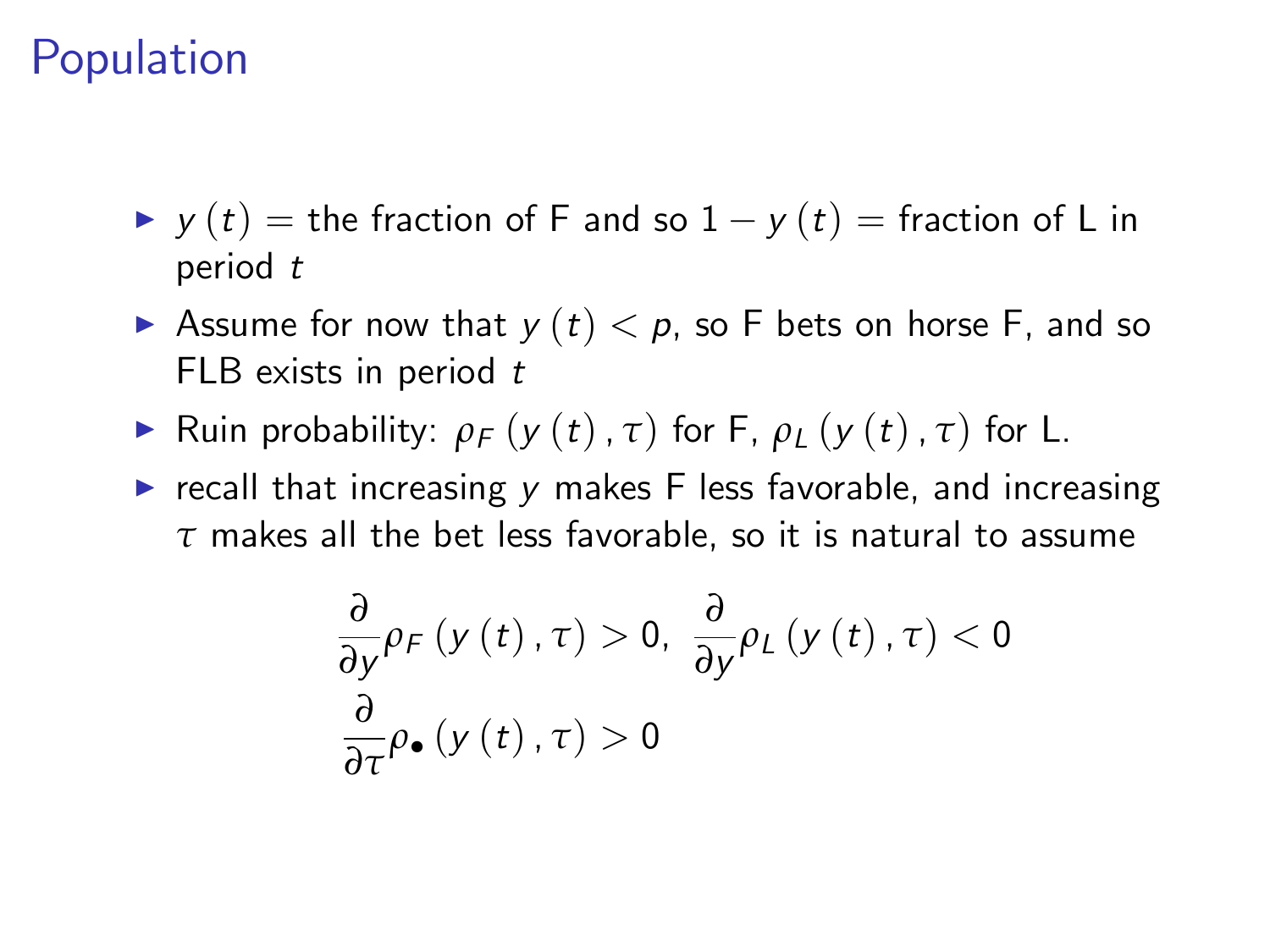### Population

- $\rightarrow$  y (t) = the fraction of F and so  $1 y(t) =$  fraction of L in period t
- Assume for now that  $y(t) < p$ , so F bets on horse F, and so FLB exists in period  $t$
- **F** Ruin probability:  $\rho_F(y(t), \tau)$  for F,  $\rho_L(y(t), \tau)$  for L.
- recall that increasing  $y$  makes  $F$  less favorable, and increasing *τ* makes all the bet less favorable, so it is natural to assume

$$
\frac{\partial}{\partial y}\rho_{F}\left(y\left(t\right),\tau\right)>0,\ \frac{\partial}{\partial y}\rho_{L}\left(y\left(t\right),\tau\right)<0
$$
\n
$$
\frac{\partial}{\partial \tau}\rho_{\bullet}\left(y\left(t\right),\tau\right)>0
$$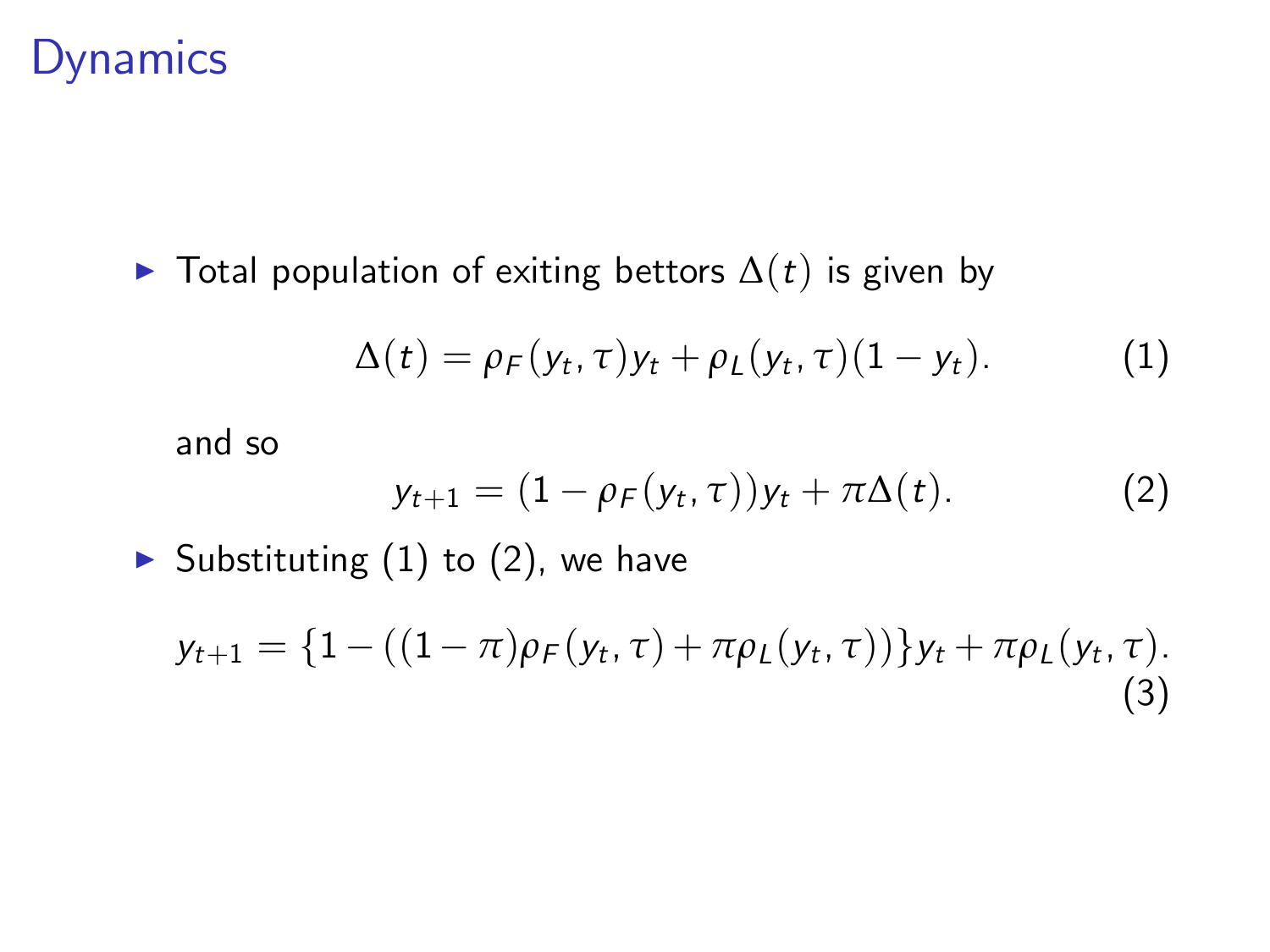### Dynamics

 $\triangleright$  Total population of exiting bettors  $\Delta(t)$  is given by

$$
\Delta(t) = \rho_F(y_t, \tau) y_t + \rho_L(y_t, \tau) (1 - y_t). \tag{1}
$$

and so

<span id="page-18-2"></span><span id="page-18-1"></span><span id="page-18-0"></span>
$$
y_{t+1} = (1 - \rho_F(y_t, \tau))y_t + \pi \Delta(t).
$$
 (2)

Substituting  $(1)$  to  $(2)$ , we have

$$
y_{t+1} = \{1 - ((1 - \pi)\rho_F(y_t, \tau) + \pi \rho_L(y_t, \tau))\} y_t + \pi \rho_L(y_t, \tau).
$$
\n(3)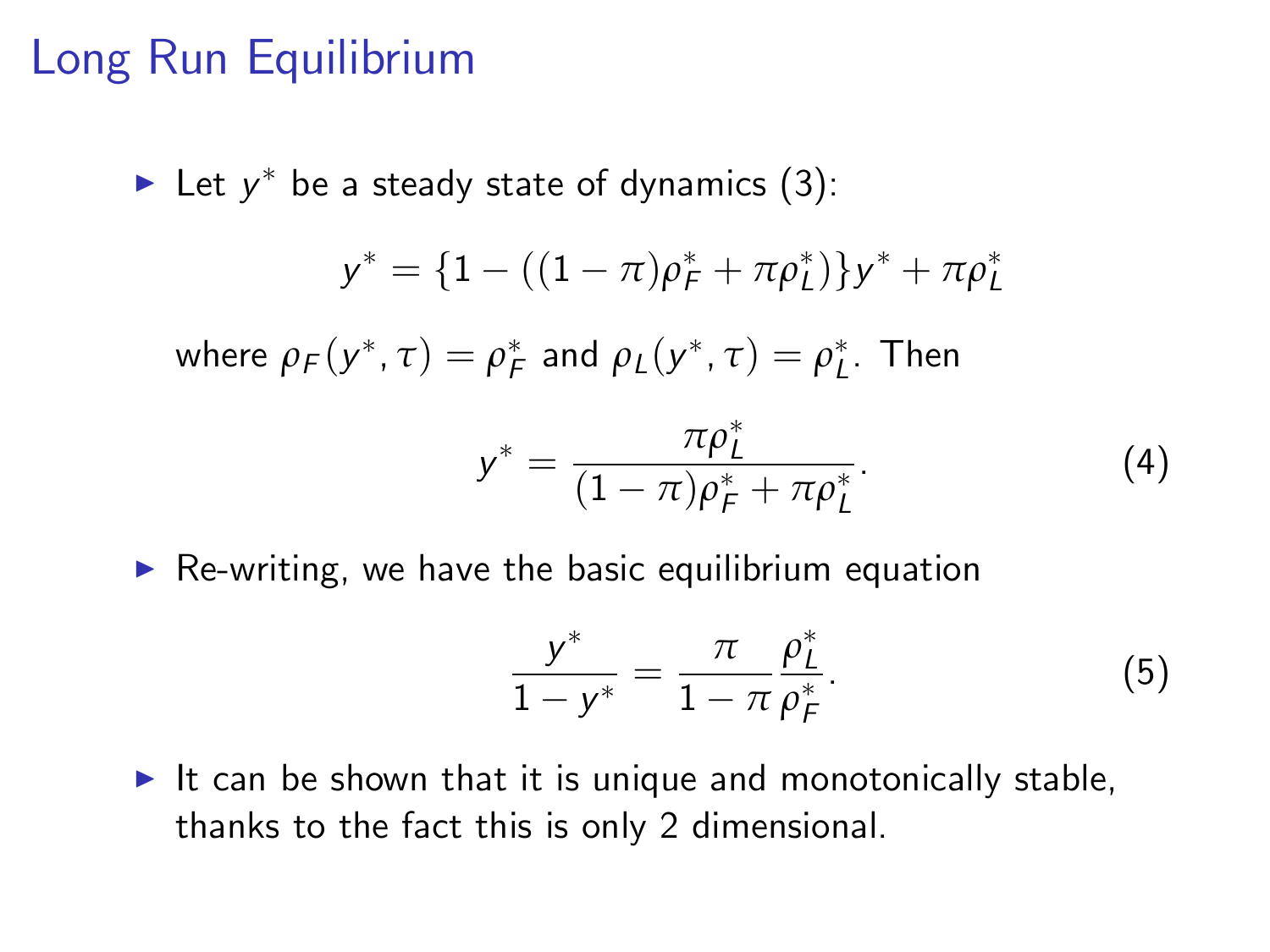### Long Run Equilibrium

• Let 
$$
y^*
$$
 be a steady state of dynamics (3):  
\n
$$
y^* = \{1 - ((1 - \pi)\rho_F^* + \pi \rho_L^*)\}y^* + \pi \rho_L^*
$$
\nwhere  $\rho_F(y^*, \tau) = \rho_F^*$  and  $\rho_L(y^*, \tau) = \rho_L^*$ . Then  
\n
$$
y^* = \frac{\pi \rho_L^*}{(1 - \pi)\rho_F^* + \pi \rho_L^*}.
$$
\n(4)

 $\triangleright$  Re-writing, we have the basic equilibrium equation

$$
\frac{y^*}{1-y^*} = \frac{\pi}{1-\pi} \frac{\rho_L^*}{\rho_F^*}.
$$
 (5)

It can be shown that it is unique and monotonically stable, thanks to the fact this is only 2 dimensional.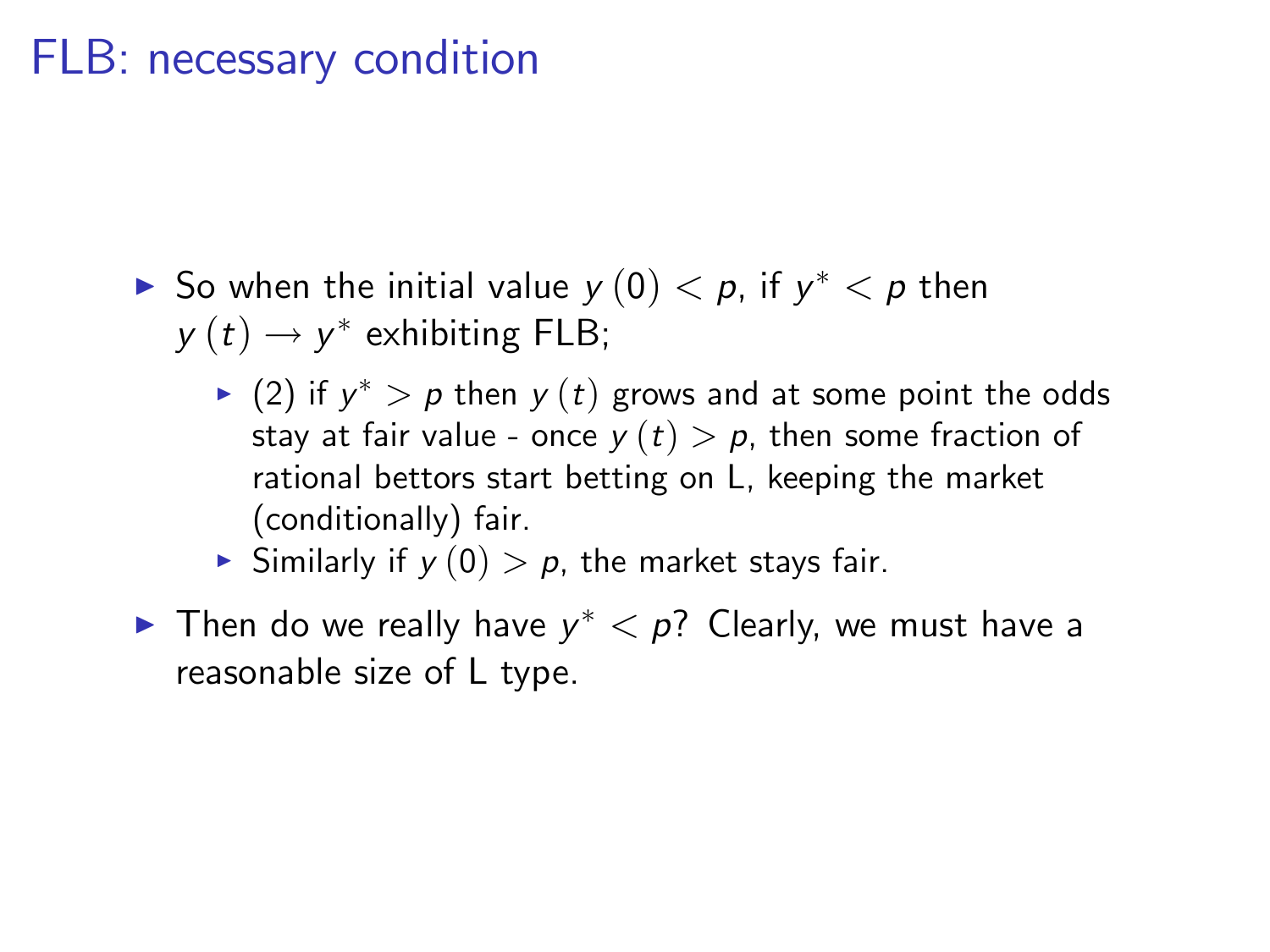### FLB: necessary condition

- $\blacktriangleright$  So when the initial value  $y\left( 0\right) < p,$  if  $y^{\ast} < p$  then  $y(t) \rightarrow y^*$  exhibiting FLB;
	- $\blacktriangleright$   $(2)$  if  $y^*>p$  then  $y\left(t\right)$  grows and at some point the odds stay at fair value - once  $y(t) > p$ , then some fraction of rational bettors start betting on L, keeping the market (conditionally) fair.
	- Similarly if  $y(0) > p$ , the market stays fair.
- $\blacktriangleright$  Then do we really have  $y^* < p$ ? Clearly, we must have a reasonable size of L type.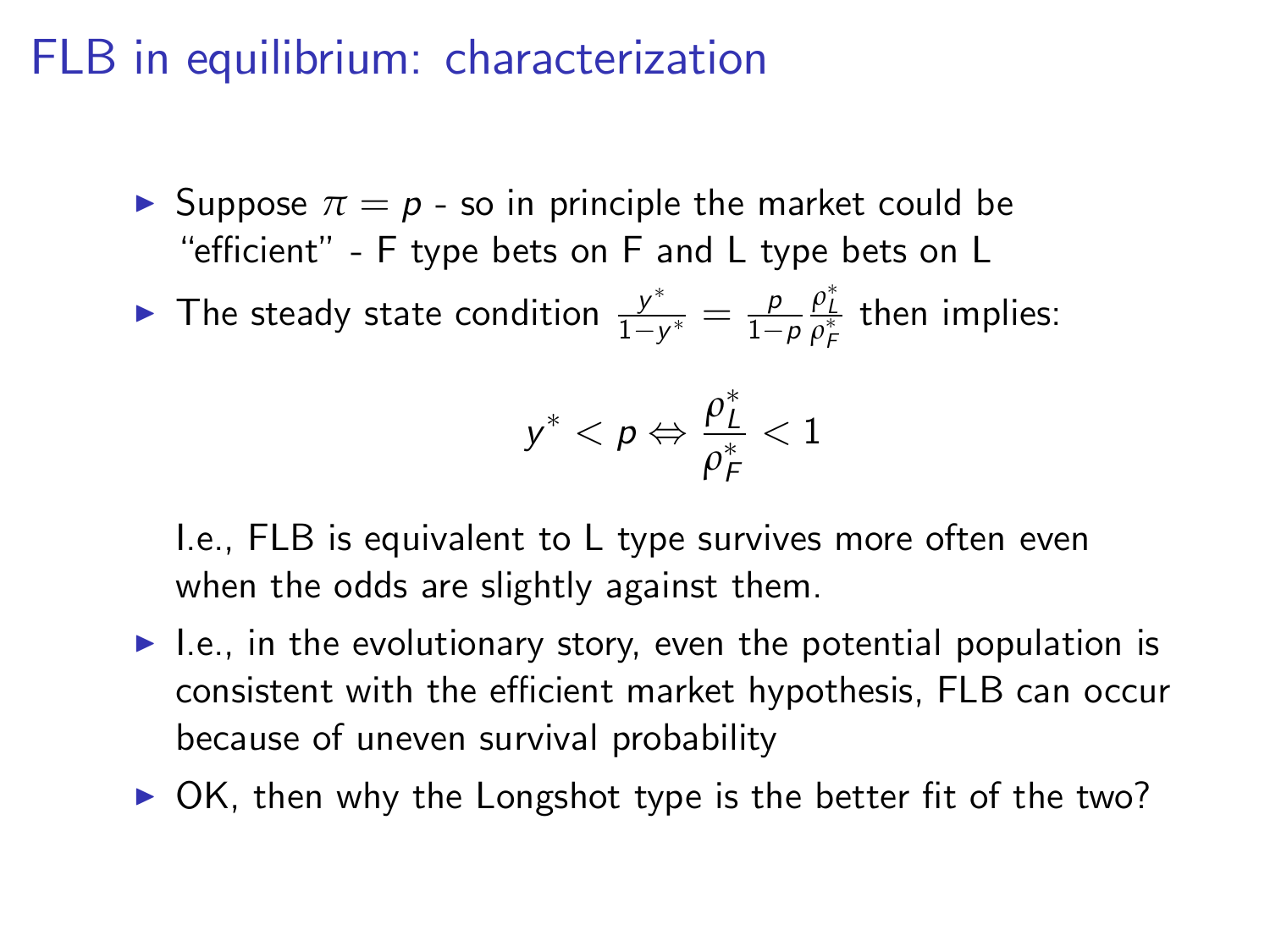### FLB in equilibrium: characterization

- **If** Suppose  $\pi = p$  so in principle the market could be "efficient" - F type bets on F and L type bets on L
- $\blacktriangleright$  The steady state condition  $\frac{y^*}{1-y}$  $\frac{y^*}{1-y^*} = \frac{p}{1-p}$  $1-p$  $\frac{\rho_{L}^{*}}{\rho_{F}^{*}}$  then implies:

$$
y^* < p \Leftrightarrow \frac{\rho_L^*}{\rho_F^*} < 1
$$

I.e., FLB is equivalent to L type survives more often even when the odds are slightly against them.

- $\blacktriangleright$  I.e., in the evolutionary story, even the potential population is consistent with the efficient market hypothesis, FLB can occur because of uneven survival probability
- $\triangleright$  OK, then why the Longshot type is the better fit of the two?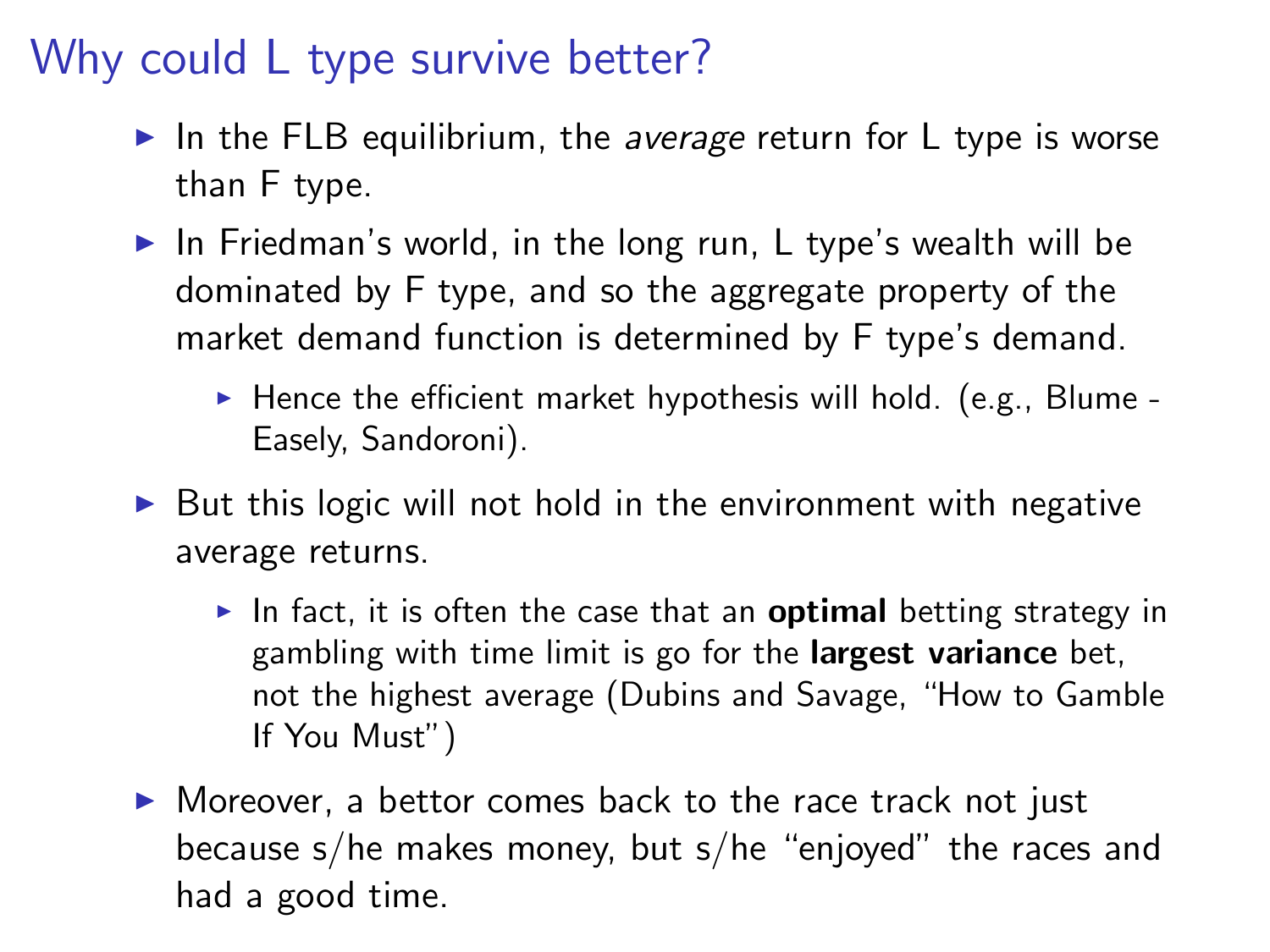# Why could L type survive better?

- In the FLB equilibrium, the average return for L type is worse than F type.
- $\triangleright$  In Friedman's world, in the long run, L type's wealth will be dominated by F type, and so the aggregate property of the market demand function is determined by F type's demand.
	- $\blacktriangleright$  Hence the efficient market hypothesis will hold. (e.g., Blume -Easely, Sandoroni).
- $\triangleright$  But this logic will not hold in the environment with negative average returns.
	- In fact, it is often the case that an **optimal** betting strategy in gambling with time limit is go for the largest variance bet, not the highest average (Dubins and Savage, "How to Gamble If You Must")
- $\triangleright$  Moreover, a bettor comes back to the race track not just because s/he makes money, but s/he "enjoyed" the races and had a good time.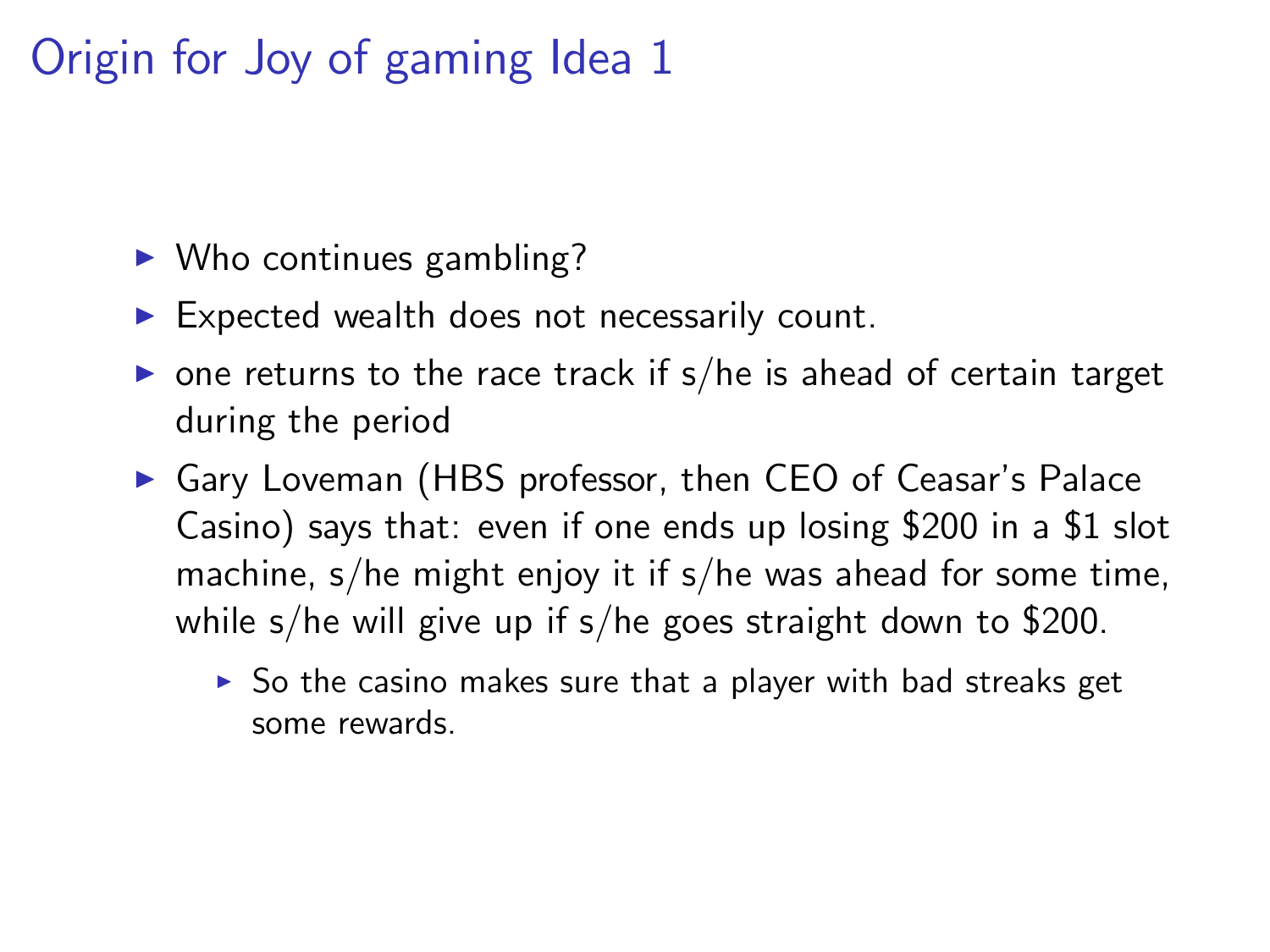# Origin for Joy of gaming Idea 1

- $\triangleright$  Who continues gambling?
- $\blacktriangleright$  Expected wealth does not necessarily count.
- $\triangleright$  one returns to the race track if s/he is ahead of certain target during the period
- ▶ Gary Loveman (HBS professor, then CEO of Ceasar's Palace Casino) says that: even if one ends up losing \$200 in a \$1 slot machine, s/he might enjoy it if s/he was ahead for some time, while s/he will give up if s/he goes straight down to \$200.
	- $\triangleright$  So the casino makes sure that a player with bad streaks get some rewards.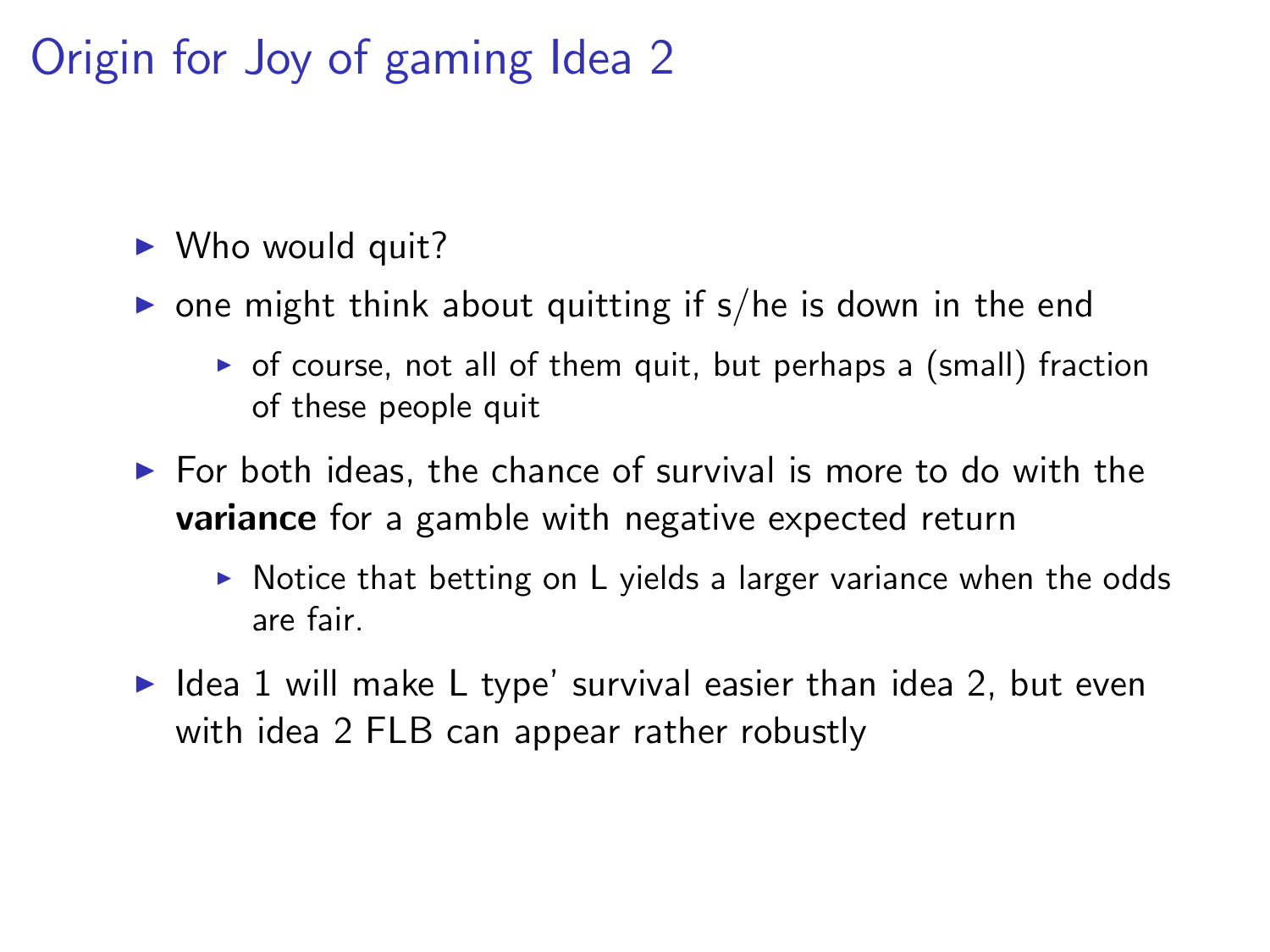# Origin for Joy of gaming Idea 2

 $\triangleright$  Who would quit?

- $\triangleright$  one might think about quitting if s/he is down in the end
	- $\triangleright$  of course, not all of them quit, but perhaps a (small) fraction of these people quit
- $\blacktriangleright$  For both ideas, the chance of survival is more to do with the **variance** for a gamble with negative expected return
	- $\triangleright$  Notice that betting on L yields a larger variance when the odds are fair.
- $\blacktriangleright$  Idea 1 will make L type' survival easier than idea 2, but even with idea 2 FLB can appear rather robustly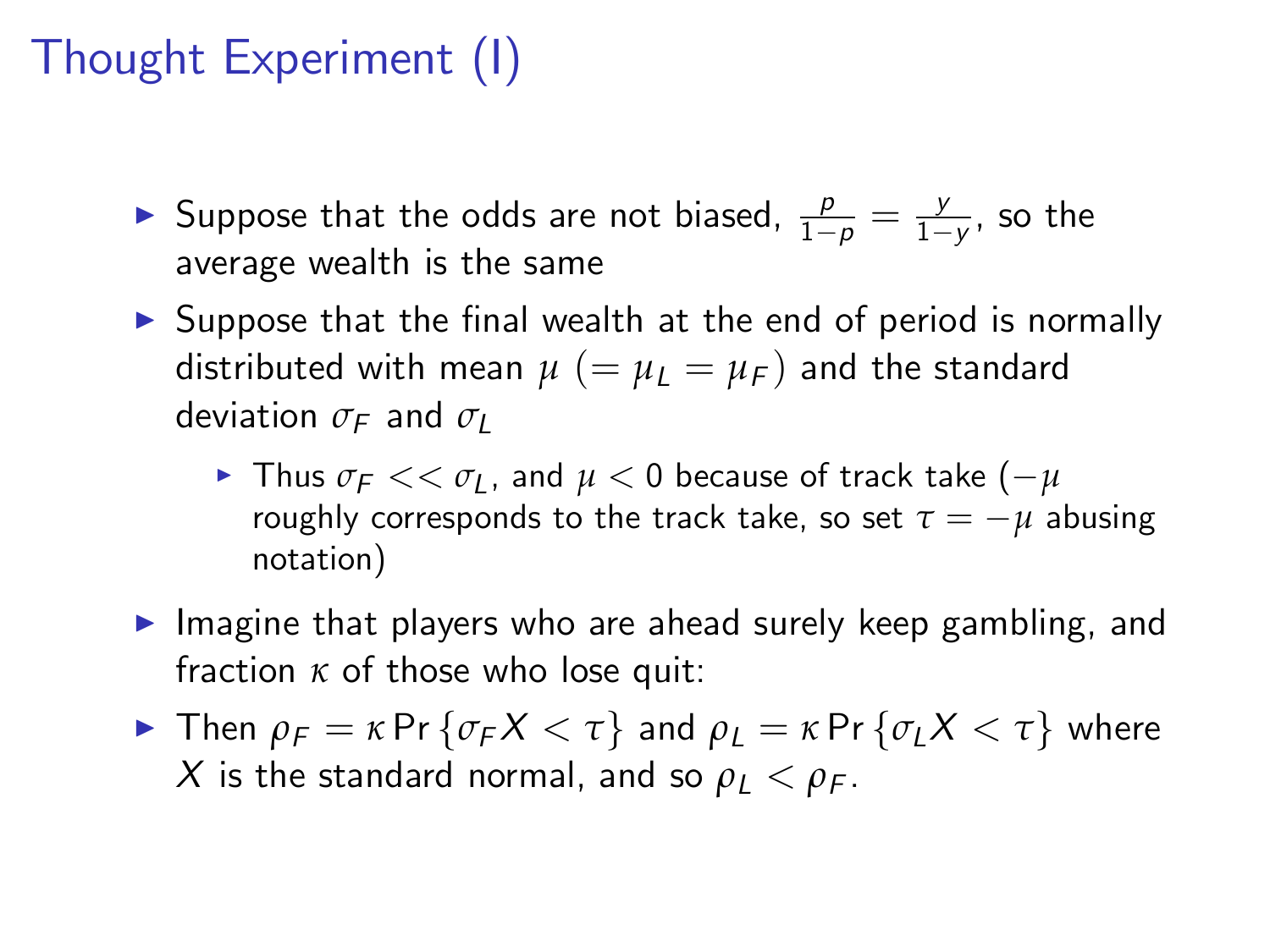# Thought Experiment (I)

- Suppose that the odds are not biased,  $\frac{p}{1-p} = \frac{y}{1-p}$  $\frac{y}{1-y}$ , so the average wealth is the same
- $\triangleright$  Suppose that the final wealth at the end of period is normally distributed with mean  $\mu$  (=  $\mu$ <sub>L</sub> =  $\mu$ <sub>F</sub>) and the standard deviation  $\sigma_F$  and  $\sigma_U$ 
	- $\blacktriangleright$  Thus  $\sigma_F << \sigma_L$ , and  $\mu < 0$  because of track take  $(-\mu)$ roughly corresponds to the track take, so set  $\tau = -\mu$  abusing notation)
- $\blacktriangleright$  Imagine that players who are ahead surely keep gambling, and fraction *κ* of those who lose quit:
- **F** Then  $\rho_F = \kappa \Pr \{ \sigma_F X < \tau \}$  and  $\rho_L = \kappa \Pr \{ \sigma_L X < \tau \}$  where X is the standard normal, and so  $\rho_L < \rho_F$ .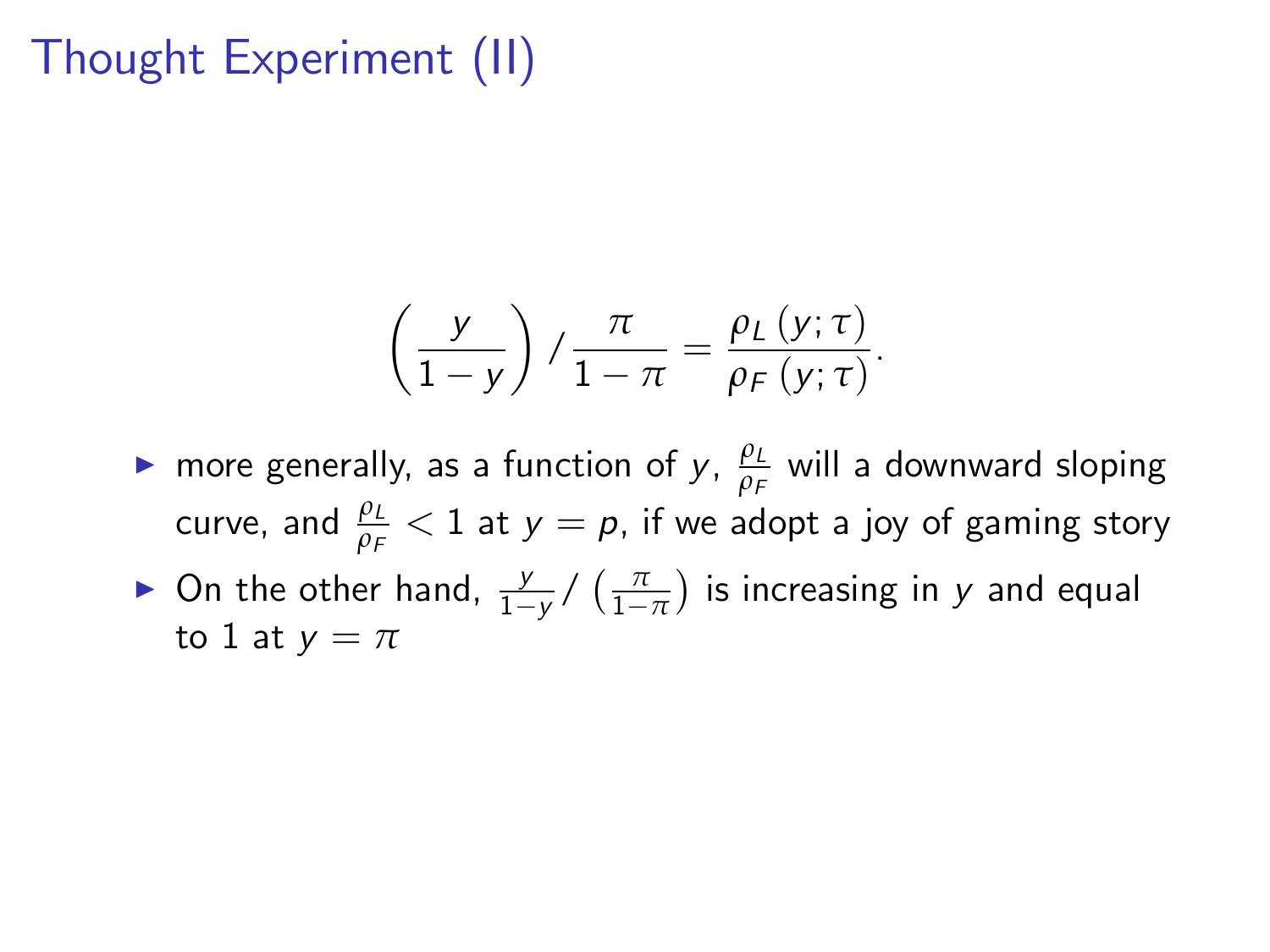# Thought Experiment (II)

$$
\left(\frac{y}{1-y}\right)/\frac{\pi}{1-\pi}=\frac{\rho_L(y;\tau)}{\rho_F(y;\tau)}.
$$

- **►** more generally, as a function of *y*, *p*<sub>L</sub>  $\frac{\rho_L}{\rho_F}$  will a downward sloping curve, and  $\frac{\rho_{L}}{\rho_{F}} < 1$  at  $y = \rho$ , if we adopt a joy of gaming story
- **►** On the other hand,  $\frac{y}{1-y}$  /  $\left(\frac{\pi}{1-\pi}\right)$ ) is increasing in  $y$  and equal to 1 at  $y = \pi$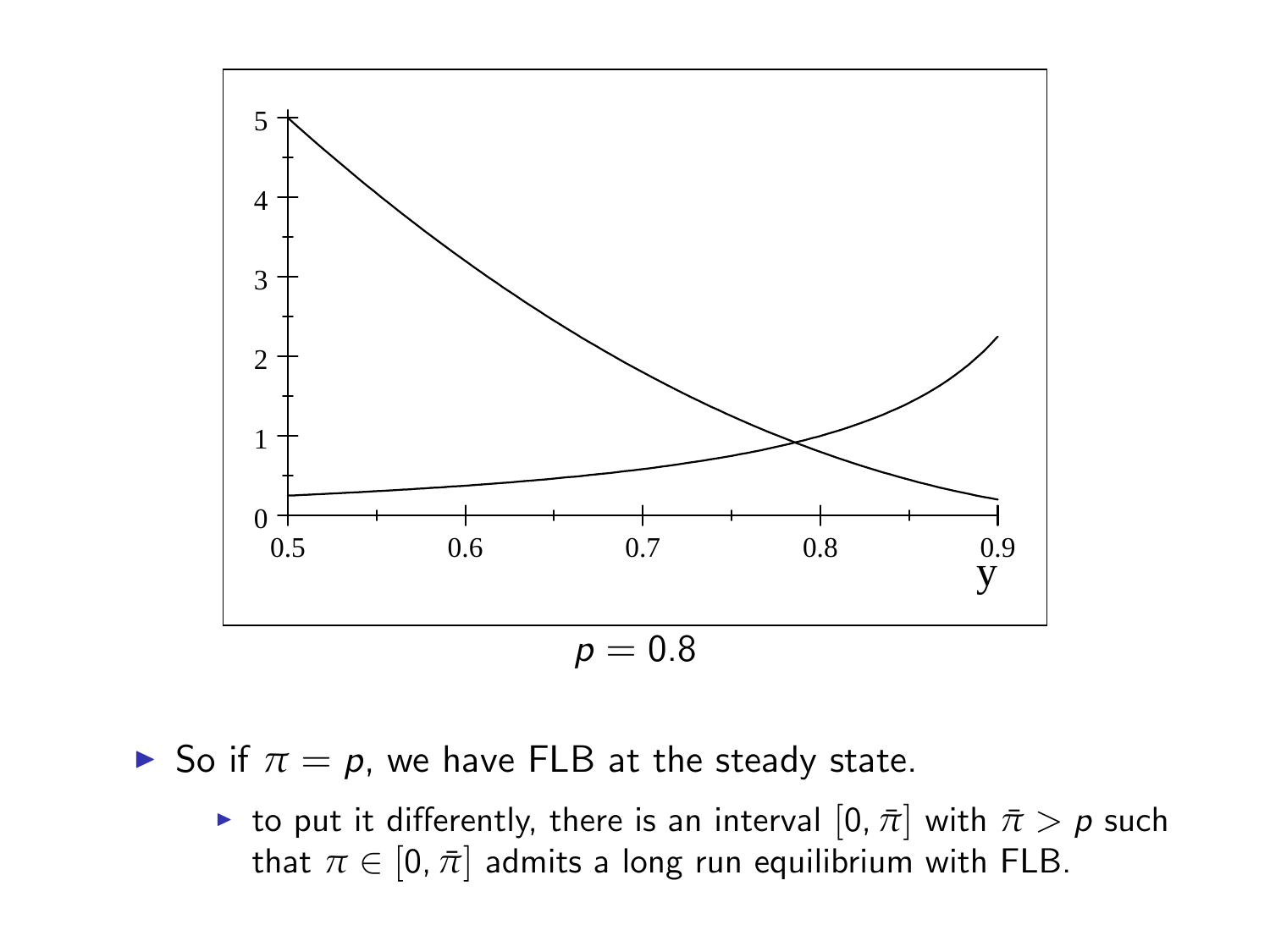

 $\triangleright$  So if  $π = p$ , we have FLB at the steady state.

**►** to put it differently, there is an interval  $[0, \bar{\pi}]$  with  $\bar{\pi} > p$  such that  $\pi \in [0, \bar{\pi}]$  admits a long run equilibrium with FLB.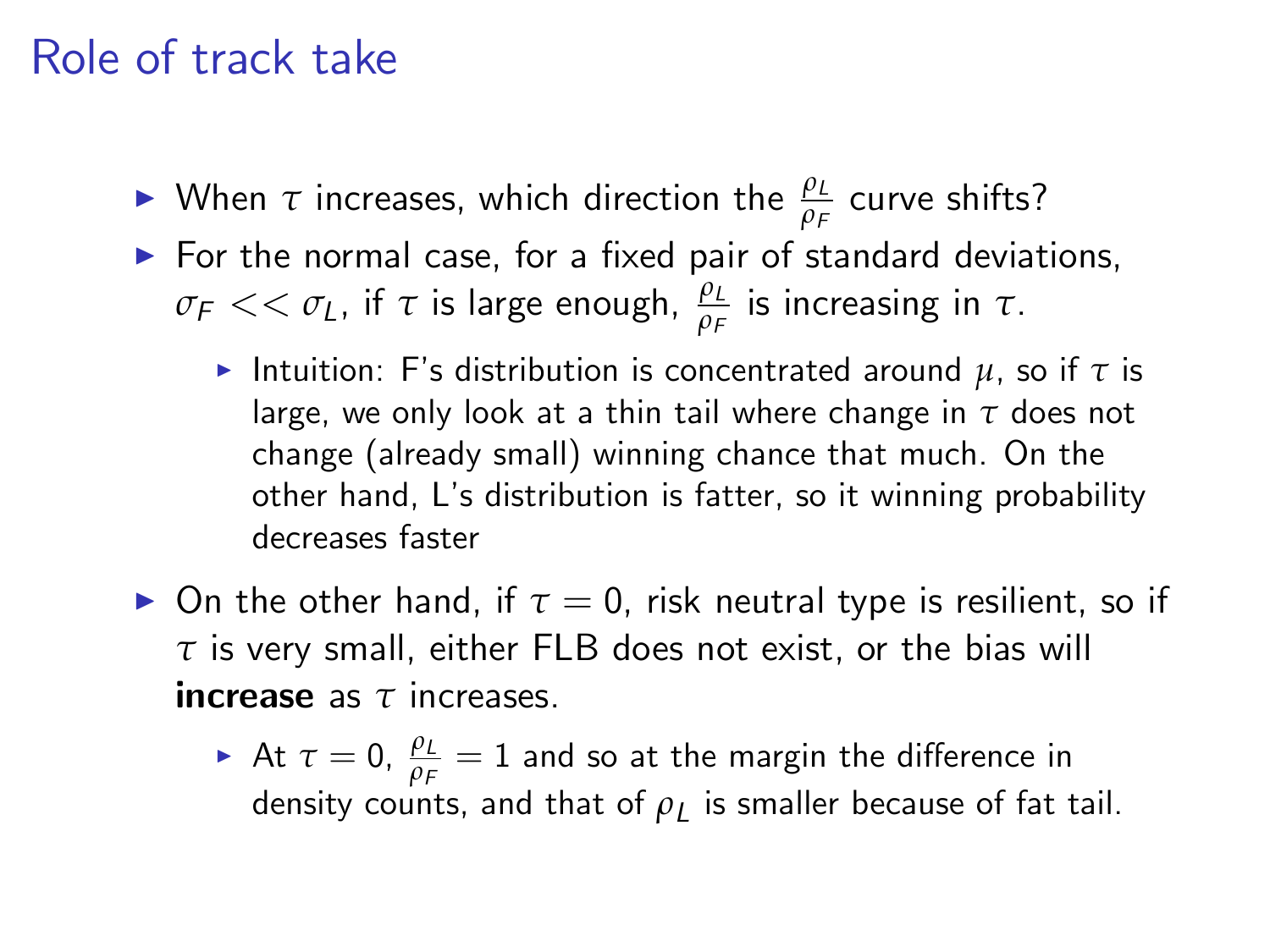### Role of track take

- $\blacktriangleright$  When  $\tau$  increases, which direction the  $\frac{\rho_L}{\rho_F}$  curve shifts?
- $\blacktriangleright$  For the normal case, for a fixed pair of standard deviations,  $\sigma_{\mathsf{F}} << \sigma_{\mathsf{L}}$ , if  $\tau$  is large enough,  $\frac{\rho_{\mathsf{L}}}{\rho_{\mathsf{F}}}$  is increasing in  $\tau.$ 
	- **F** Intuition: F's distribution is concentrated around  $\mu$ , so if  $\tau$  is large, we only look at a thin tail where change in *τ* does not change (already small) winning chance that much. On the other hand, Lís distribution is fatter, so it winning probability decreases faster
- $\triangleright$  On the other hand, if  $\tau = 0$ , risk neutral type is resilient, so if *τ* is very small, either FLB does not exist, or the bias will increase as *τ* increases.
	- $\blacktriangleright$  At  $\tau=0$ ,  $\frac{\rho_L}{\rho_F}=1$  and so at the margin the difference in density counts, and that of  $\rho_L$  is smaller because of fat tail.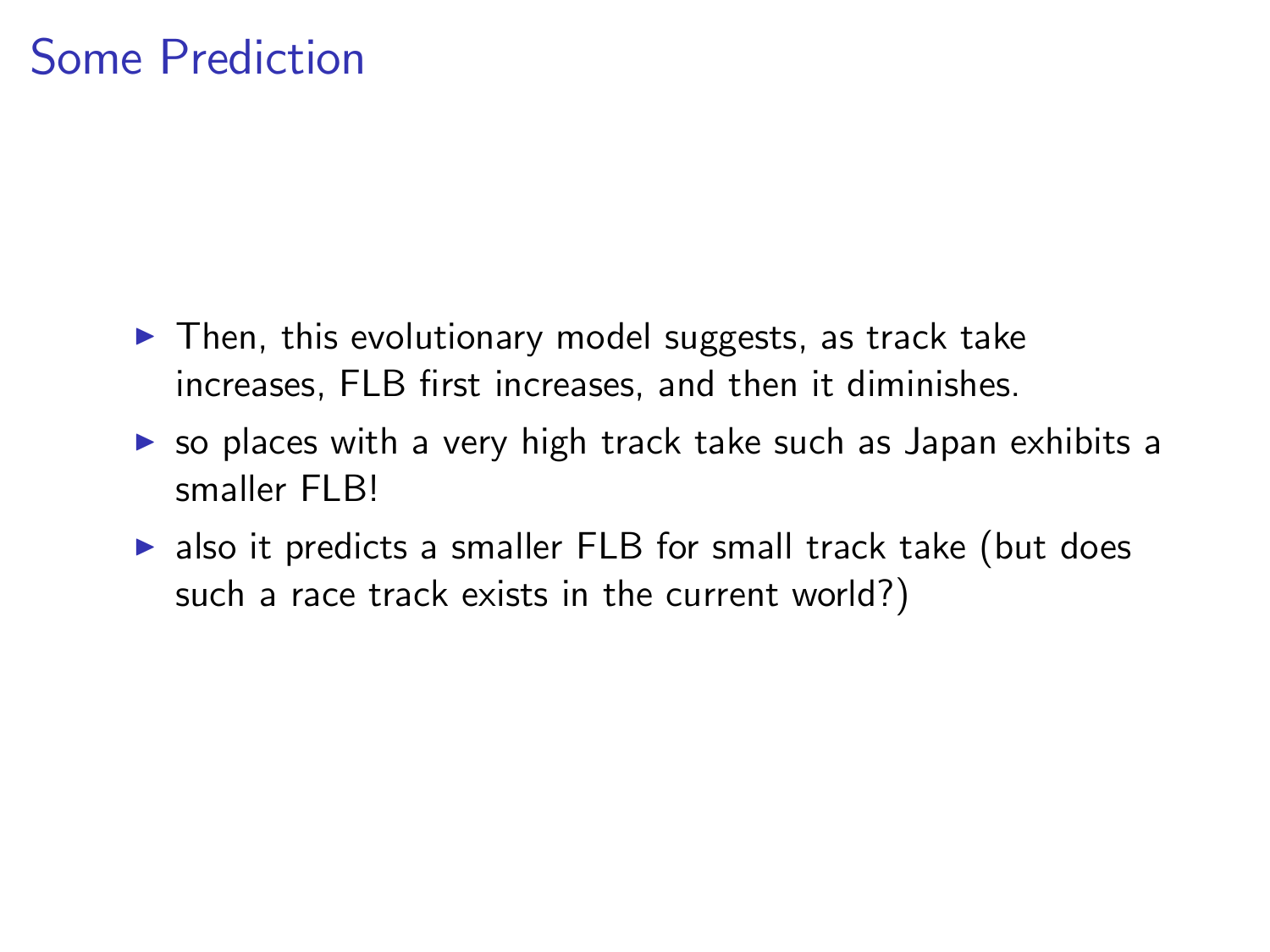### Some Prediction

- $\blacktriangleright$  Then, this evolutionary model suggests, as track take increases. FLB first increases, and then it diminishes.
- $\triangleright$  so places with a very high track take such as Japan exhibits a smaller FLB!
- $\triangleright$  also it predicts a smaller FLB for small track take (but does such a race track exists in the current world?)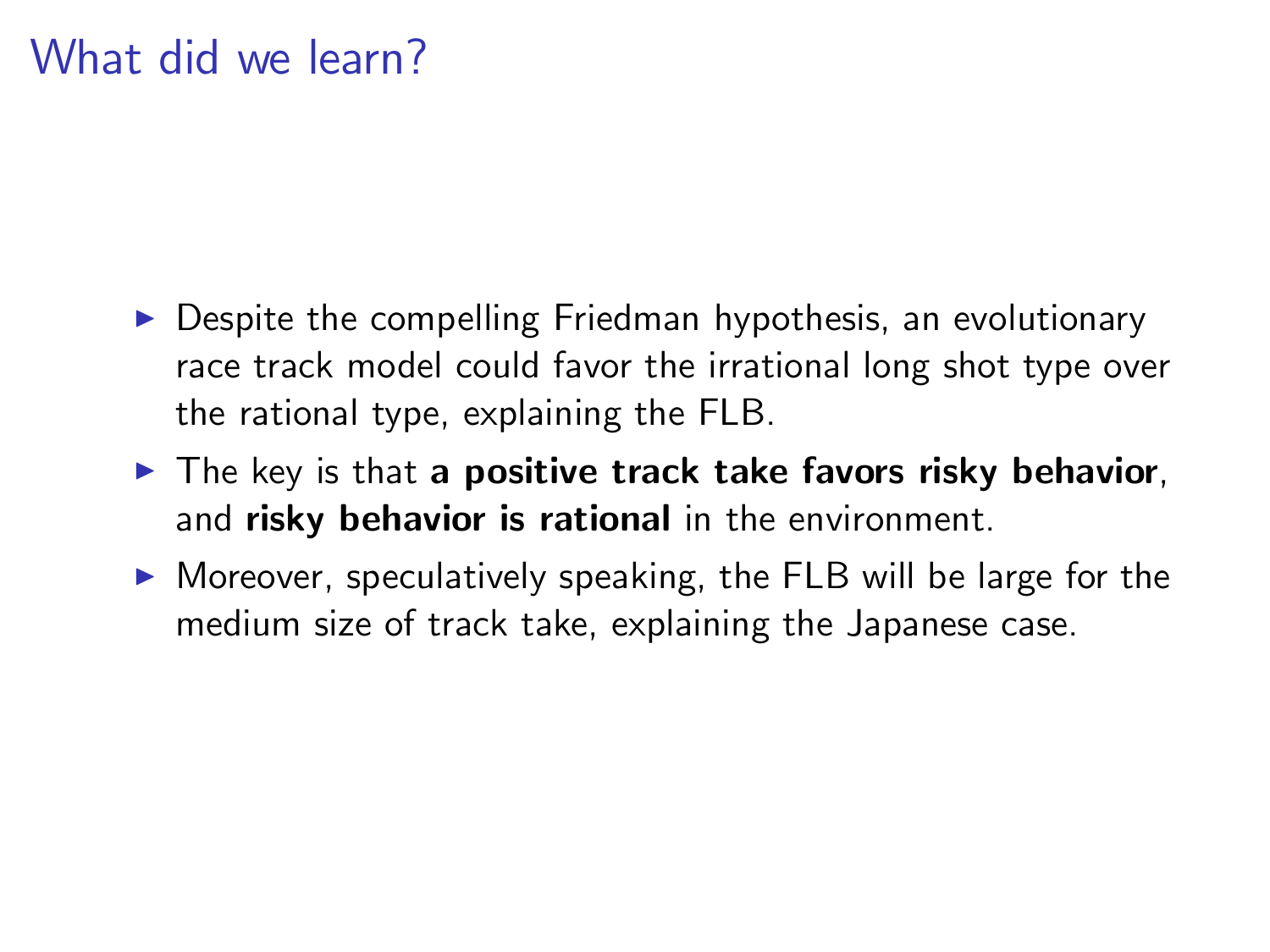### What did we learn?

- $\triangleright$  Despite the compelling Friedman hypothesis, an evolutionary race track model could favor the irrational long shot type over the rational type, explaining the FLB.
- $\blacktriangleright$  The key is that a positive track take favors risky behavior, and risky behavior is rational in the environment.
- $\triangleright$  Moreover, speculatively speaking, the FLB will be large for the medium size of track take, explaining the Japanese case.